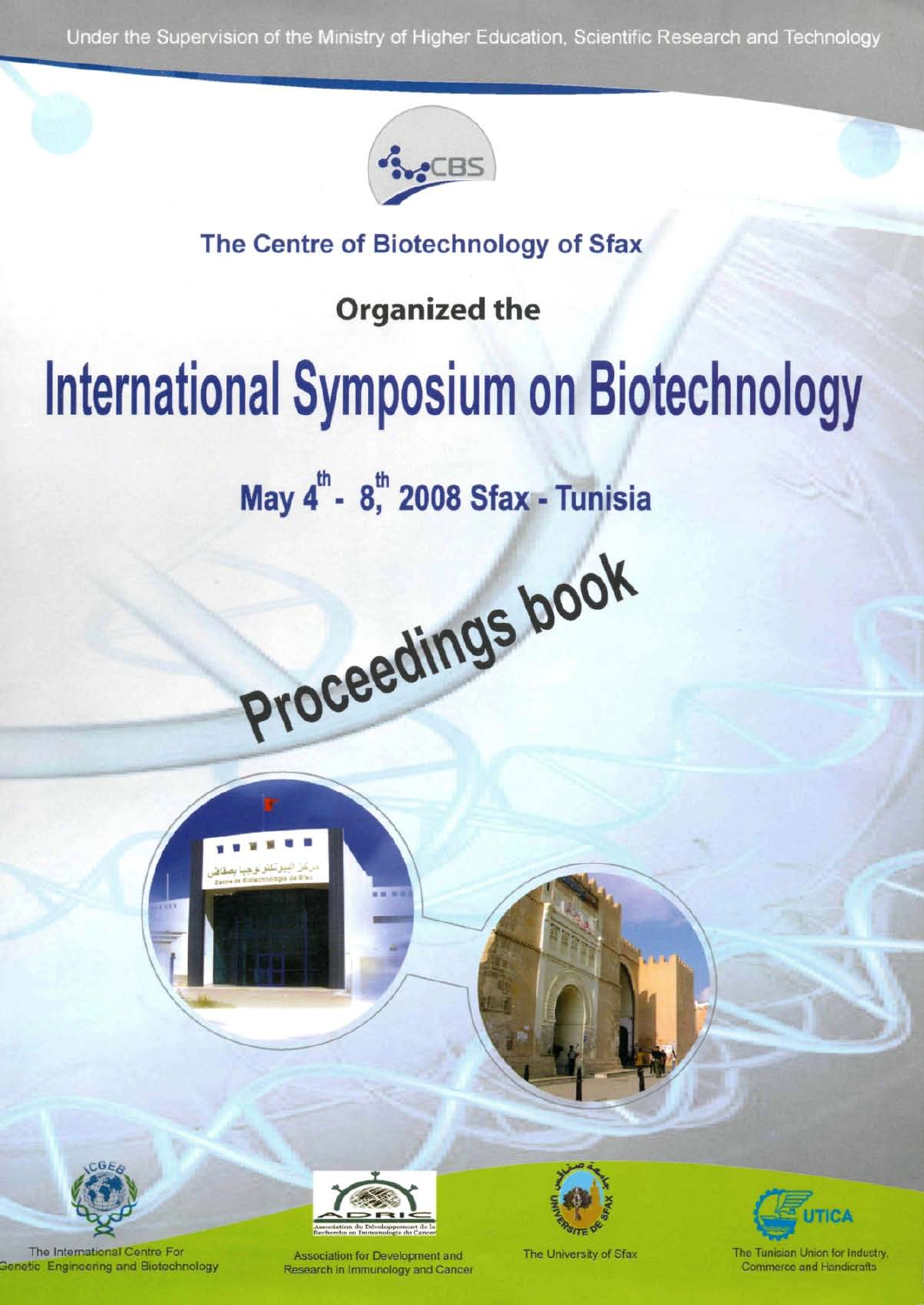Under the Supervision of the Ministry of Higher Education, Scientific Research and Technology



# **The Centre of Biotechnology of Sfax**

**Organized the** 

# **International Symposium on Biotechnology**

**May 4th - 8\*," 2008 Sfax - Tunisia** 

Proceedings book



The International Centre For etic Engineering and Biotechnology



Association for Development and Research in Immunology and Cancer



The University of Sfax

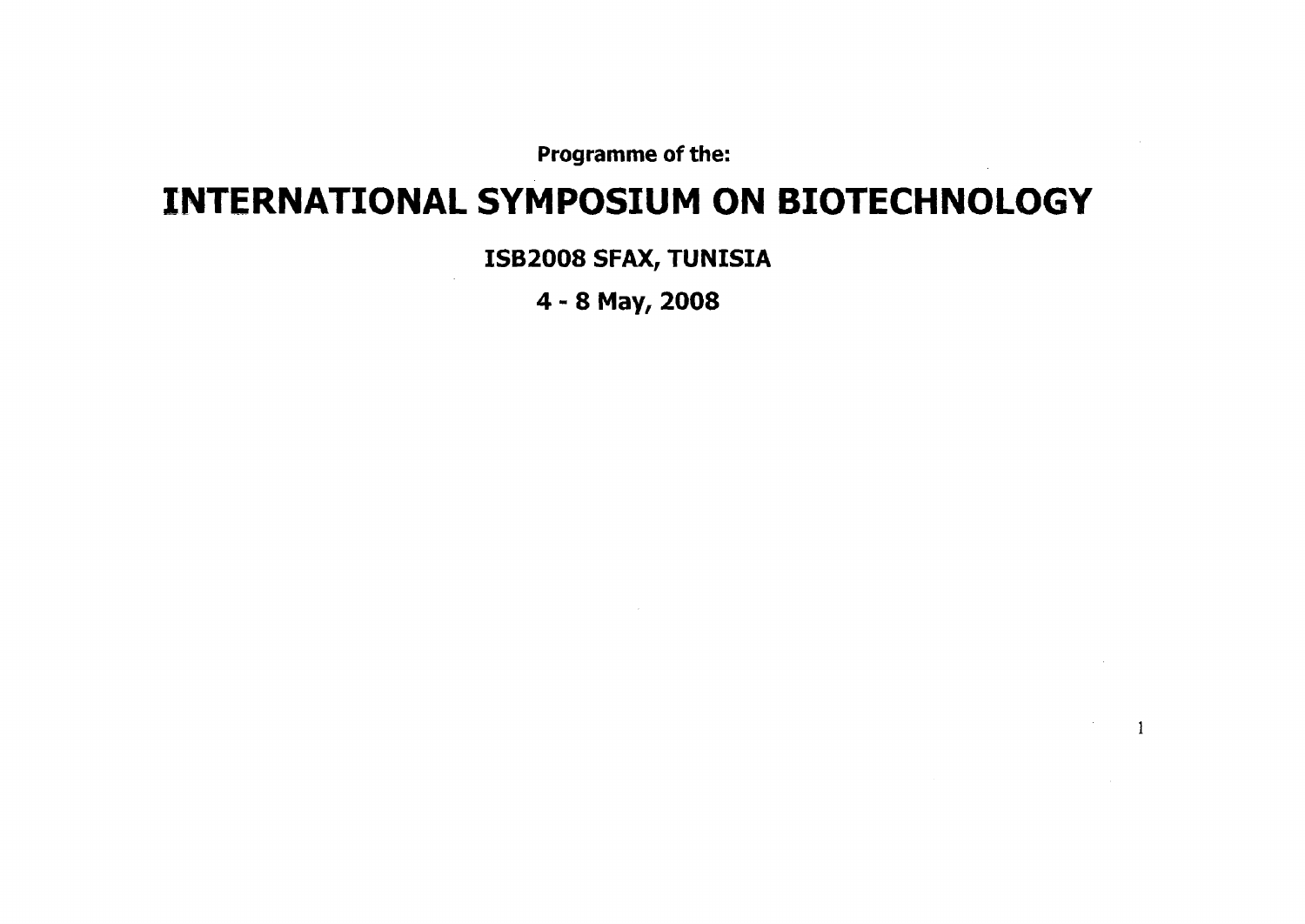**Programme of the:** 

# **INTERNATIONAL SYMPOSIUM ON BIOTECHNOLOGY**

**ISB2008 SFAX, TUNISIA** 

**4 - 8 May, 2008** 

 $\mathbf{1}$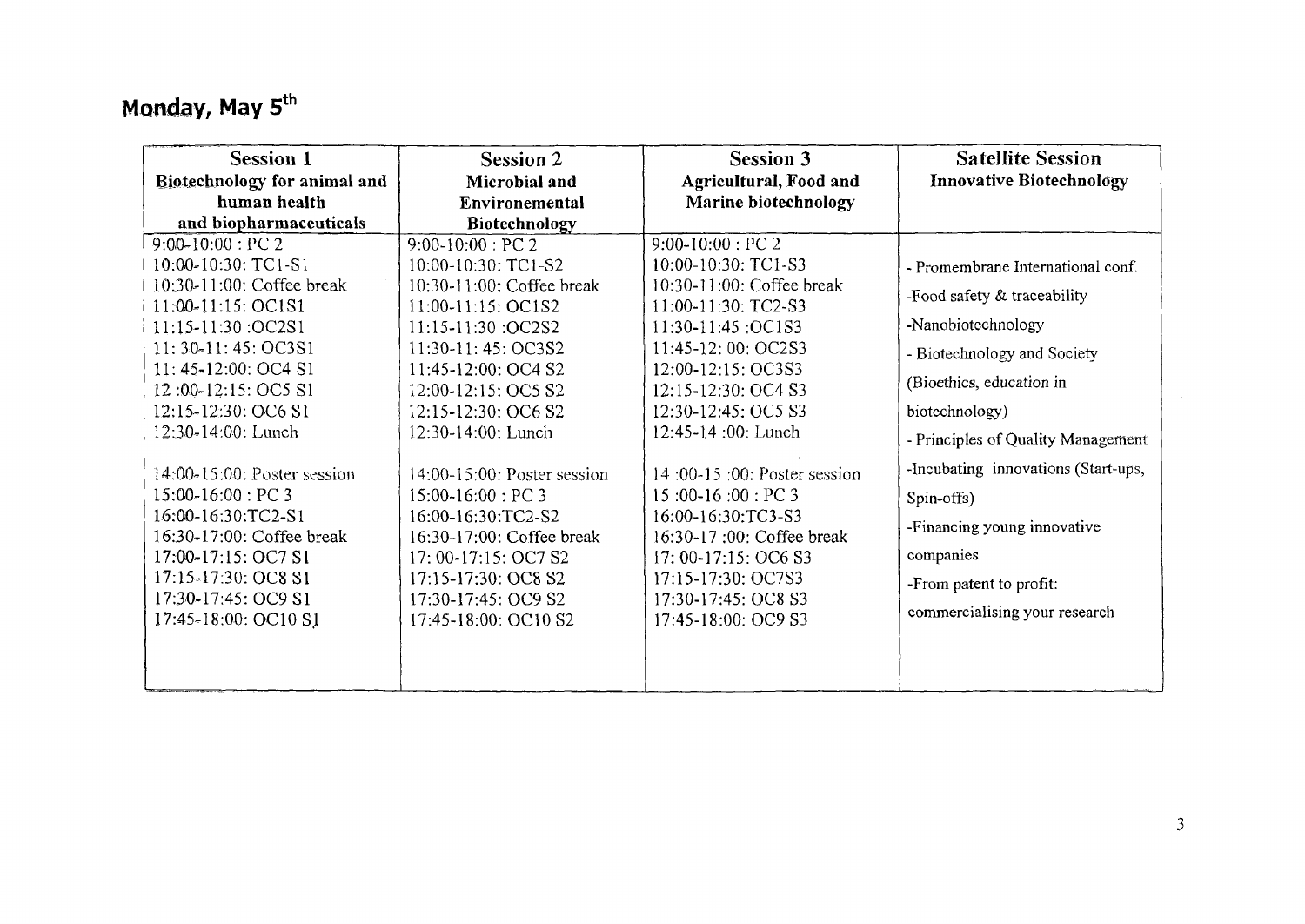# **Monday, May**  $5^{\text{th}}$

| <b>Session 1</b><br>Biotechnology for animal and                                                                                                                                                                          | <b>Session 2</b><br>Microbial and                                                                                                                                                                                          | <b>Session 3</b><br>Agricultural, Food and                                                                                                                                                                             | <b>Satellite Session</b><br><b>Innovative Biotechnology</b>                                                                                                                                     |
|---------------------------------------------------------------------------------------------------------------------------------------------------------------------------------------------------------------------------|----------------------------------------------------------------------------------------------------------------------------------------------------------------------------------------------------------------------------|------------------------------------------------------------------------------------------------------------------------------------------------------------------------------------------------------------------------|-------------------------------------------------------------------------------------------------------------------------------------------------------------------------------------------------|
| human health<br>and biopharmaceuticals                                                                                                                                                                                    | Environemental<br>Biotechnology                                                                                                                                                                                            | Marine biotechnology                                                                                                                                                                                                   |                                                                                                                                                                                                 |
| $9:00-10:00$ : PC 2<br>10:00-10:30: TC1-S1<br>10:30-11:00: Coffee break                                                                                                                                                   | $9:00-10:00$ : PC 2<br>10:00-10:30: TC1-S2<br>10:30-11:00: Coffee break                                                                                                                                                    | $9:00-10:00$ : PC 2<br>10:00-10:30: TC1-S3<br>10:30-11:00: Coffee break                                                                                                                                                | - Promembrane International conf.<br>-Food safety & traceability                                                                                                                                |
| 11:00-11:15: OC1S1<br>11:15-11:30 :OC2S1<br>$11:30-11:45:OC3S1$<br>11:45-12:00: OC4 S1<br>12:00-12:15: OC5 S1<br>12:15-12:30: OC6 S1                                                                                      | $11:00-11:15:OC1S2$<br>11:15-11:30 :OC2S2<br>11:30-11: 45: OC3S2<br>11:45-12:00: OC4 S2<br>12:00-12:15: OC5 S2<br>12:15-12:30: OC6 S2                                                                                      | 11:00-11:30: TC2-S3<br>11:30-11:45 :OC1S3<br>11:45-12:00: OC2S3<br>12:00-12:15: OC3S3<br>12:15-12:30: OC4 S3<br>12:30-12:45: OC5 S3                                                                                    | -Nanobiotechnology<br>- Biotechnology and Society<br>(Bioethics, education in<br>biotechnology)                                                                                                 |
| 12:30-14:00: Lunch<br>14:00-15:00: Poster session<br>$15:00-16:00$ : PC 3<br>16:00-16:30:TC2-S1<br>16:30-17:00: Coffee break<br>17:00-17:15: OC7 S1<br>17:15-17:30: OC8 S1<br>17:30-17:45: OC9 S1<br>17:45-18:00: OC10 S1 | 12:30-14:00: Lunch<br>14:00-15:00: Poster session<br>$15:00-16:00$ : PC 3<br>16:00-16:30:TC2-S2<br>16:30-17:00: Coffee break<br>17: 00-17:15: OC7 S2<br>17:15-17:30: OC8 S2<br>17:30-17:45: OC9 S2<br>17:45-18:00: OC10 S2 | 12:45-14 :00: Lunch<br>14:00-15:00: Poster session<br>$15:00-16:00:PC3$<br>16:00-16:30:TC3-S3<br>16:30-17:00: Coffee break<br>17: 00-17:15: OC6 S3<br>17:15-17:30: OC7S3<br>17:30-17:45: OC8 S3<br>17:45-18:00: OC9 S3 | - Principles of Quality Management<br>-Incubating innovations (Start-ups,<br>Spin-offs)<br>-Financing young innovative<br>companies<br>-From patent to profit:<br>commercialising your research |
|                                                                                                                                                                                                                           |                                                                                                                                                                                                                            |                                                                                                                                                                                                                        |                                                                                                                                                                                                 |

 $\sim$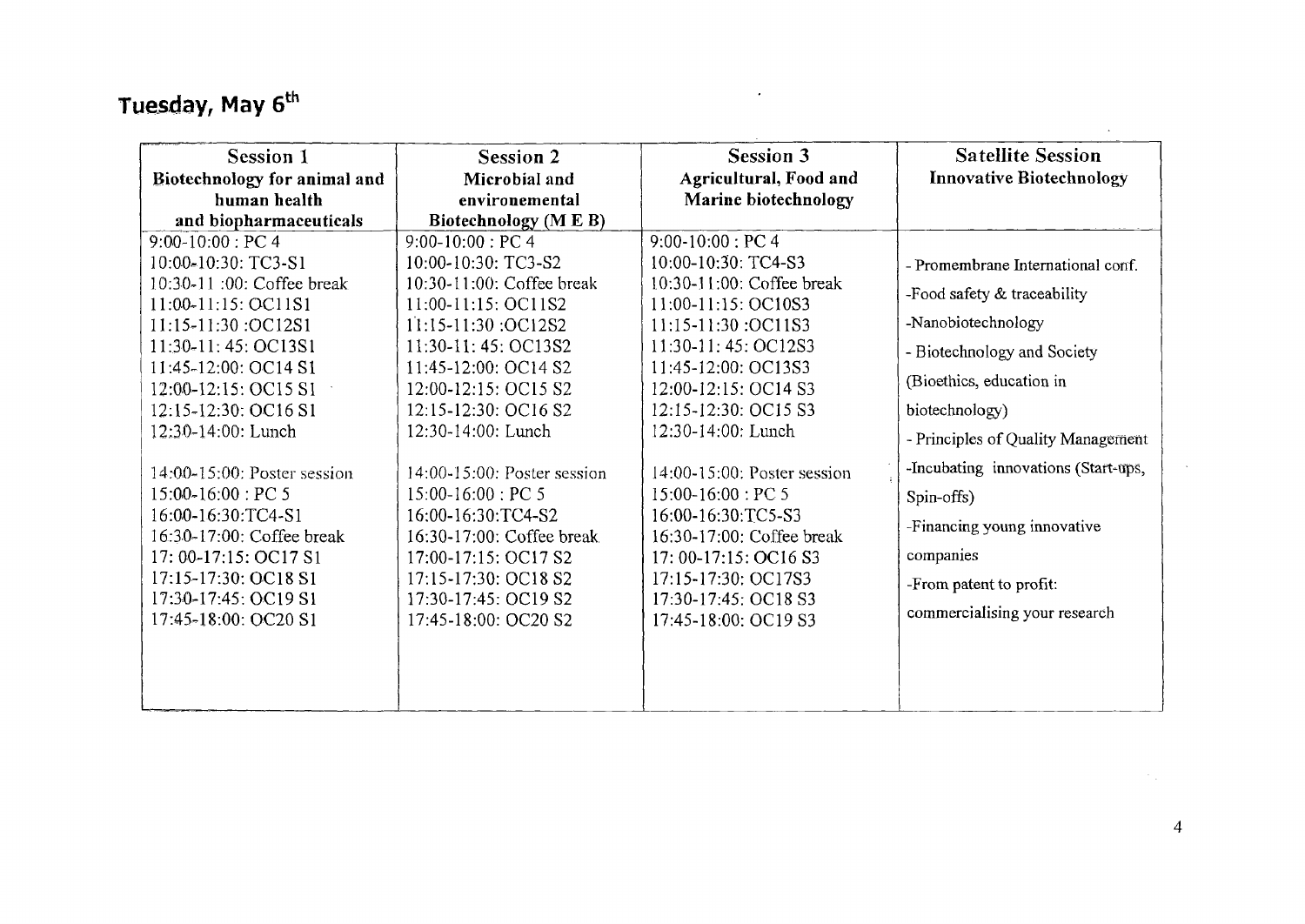# **Tuesday, May 6 th**

| <b>Session 1</b><br>Biotechnology for animal and<br>human health                                                                                                                                                                                                                                                                                                                                                                                                                 | <b>Session 2</b><br>Microbial and<br>environemental                                                                                                                                                                                                                                                                                                                                                                                                                           | <b>Session 3</b><br>Agricultural, Food and<br>Marine biotechnology                                                                                                                                                                                                                                                                                                                                                                                  | <b>Satellite Session</b><br><b>Innovative Biotechnology</b>                                                                                                                                                                                                                                                                                                            |
|----------------------------------------------------------------------------------------------------------------------------------------------------------------------------------------------------------------------------------------------------------------------------------------------------------------------------------------------------------------------------------------------------------------------------------------------------------------------------------|-------------------------------------------------------------------------------------------------------------------------------------------------------------------------------------------------------------------------------------------------------------------------------------------------------------------------------------------------------------------------------------------------------------------------------------------------------------------------------|-----------------------------------------------------------------------------------------------------------------------------------------------------------------------------------------------------------------------------------------------------------------------------------------------------------------------------------------------------------------------------------------------------------------------------------------------------|------------------------------------------------------------------------------------------------------------------------------------------------------------------------------------------------------------------------------------------------------------------------------------------------------------------------------------------------------------------------|
| and biopharmaceuticals<br>$9:00-10:00$ : PC 4<br>10:00-10:30: TC3-S1<br>10:30-11 :00: Coffee break<br>11:00-11:15: OC11S1<br>11:15-11:30 :OC12S1<br>11:30-11:45: OC13S1<br>11:45-12:00: OC14 S1<br>12:00-12:15: OC15 S1<br>12:15-12:30: OC16 S1<br>12:30-14:00: Lunch<br>14:00-15:00: Poster session<br>$15:00-16:00$ : PC 5<br>16:00-16:30:TC4-S1<br>16:30-17:00: Coffee break<br>17: 00-17:15: OC17 S1<br>17:15-17:30: OC18 S1<br>17:30-17:45: OC19 S1<br>17:45-18:00: OC20 S1 | Biotechnology (M E B)<br>$9:00-10:00$ : PC 4<br>10:00-10:30: TC3-S2<br>10:30-11:00: Coffee break<br>11:00-11:15: OC11S2<br>11:15-11:30 :OC12S2<br>11:30-11:45: OC13S2<br>11:45-12:00: OC14 S2<br>12:00-12:15: OC15 S2<br>12:15-12:30: OC16 S2<br>12:30-14:00: Lunch<br>14:00-15:00: Poster session<br>$15:00-16:00$ : PC 5<br>16:00-16:30:TC4-S2<br>16:30-17:00: Coffee break<br>17:00-17:15: OC17 S2<br>17:15-17:30: OC18 S2<br>17:30-17:45: OC19 S2<br>17:45-18:00: OC20 S2 | $9:00-10:00$ : PC 4<br>10:00-10:30: TC4-S3<br>$10:30-11:00$ : Coffee break<br>11:00-11:15: OC10S3<br>11:15-11:30 :OC11S3<br>11:30-11:45: OC12S3<br>11:45-12:00: OC13S3<br>12:00-12:15: OC14 S3<br>12:15-12:30: OC15 S3<br>12:30-14:00: Lunch<br>14:00-15:00: Poster session<br>$15:00-16:00:PC5$<br>16:00-16:30:TC5-S3<br>16:30-17:00: Coffee break<br>17: 00-17:15: OC16 S3<br>17:15-17:30: OC17S3<br>17:30-17:45: OC18 S3<br>17:45-18:00: OC19 S3 | - Promembrane International conf.<br>-Food safety & traceability<br>-Nanobiotechnology<br>- Biotechnology and Society<br>(Bioethics, education in<br>biotechnology)<br>- Principles of Quality Management<br>-Incubating innovations (Start-ups,<br>Spin-offs)<br>-Financing young innovative<br>companies<br>-From patent to profit:<br>commercialising your research |

 $\mathcal{L}^{\pm}$ 

 $\mathcal{F}(\mathcal{L})$  .

 $\sim$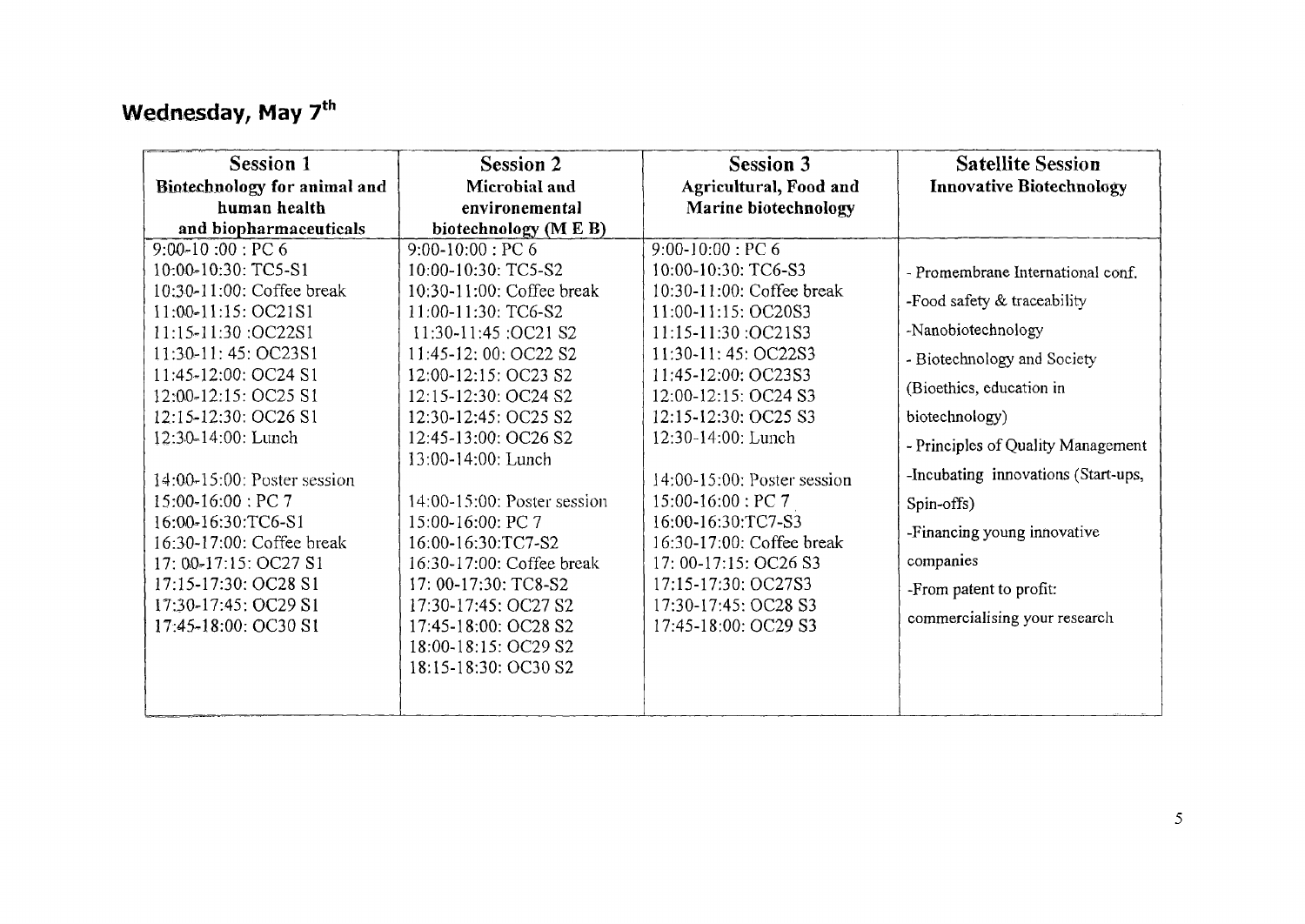## **Wednesday, May 7<sup>th</sup>**

| Session 1                    | <b>Session 2</b>            | <b>Session 3</b>            | <b>Satellite Session</b>            |
|------------------------------|-----------------------------|-----------------------------|-------------------------------------|
| Biotechnology for animal and | Microbial and               | Agricultural, Food and      | <b>Innovative Biotechnology</b>     |
| human health                 | environemental              | Marine biotechnology        |                                     |
| and biopharmaceuticals       | biotechnology (M E B)       |                             |                                     |
| $9:00-10:00$ : PC 6          | $9:00-10:00$ : PC 6         | $9:00 - 10:00 : PC6$        |                                     |
| 10:00-10:30: TC5-S1          | 10:00-10:30: TC5-S2         | 10:00-10:30: TC6-S3         | - Promembrane International conf.   |
| 10:30-11:00: Coffee break    | 10:30-11:00: Coffee break   | 10:30-11:00: Coffee break   | -Food safety & traceability         |
| 11:00-11:15: OC21S1          | 11:00-11:30: TC6-S2         | 11:00-11:15: OC20S3         |                                     |
| 11:15-11:30 :OC22S1          | 11:30-11:45 :OC21 S2        | 11:15-11:30:OC21S3          | -Nanobiotechnology                  |
| 11:30-11: 45: OC23S1         | 11:45-12: 00: OC22 S2       | 11:30-11:45: OC22S3         | - Biotechnology and Society         |
| 11:45-12:00: OC24 S1         | 12:00-12:15: OC23 S2        | 11:45-12:00: OC23S3         |                                     |
| 12:00-12:15: OC25 S1         | 12:15-12:30: OC24 S2        | 12:00-12:15: OC24 S3        | (Bioethics, education in            |
| 12:15-12:30: OC26 S1         | 12:30-12:45: OC25 S2        | 12:15-12:30: OC25 S3        | biotechnology)                      |
| 12:30-14:00: Lunch           | 12:45-13:00: OC26 S2        | 12:30-14:00: Lunch          | - Principles of Quality Management  |
|                              | 13:00-14:00: Lunch          |                             |                                     |
| 14:00-15:00: Poster session  |                             | 14:00-15:00: Poster session | -Incubating innovations (Start-ups, |
| 15:00-16:00 : PC 7           | 14:00-15:00: Poster session | $15:00-16:00:PC7$           | Spin-offs)                          |
| 16:00-16:30:TC6-S1           | 15:00-16:00: PC 7           | 16:00-16:30:TC7-S3          | -Financing young innovative         |
| 16:30-17:00: Coffee break    | 16:00-16:30:TC7-S2          | 16:30-17:00: Coffee break   |                                     |
| 17: 00-17:15: OC27 S1        | 16:30-17:00: Coffee break   | 17: 00-17:15: OC26 S3       | companies                           |
| 17:15-17:30: OC28 S1         | 17: 00-17:30: TC8-S2        | 17:15-17:30: OC27S3         | -From patent to profit:             |
| 17:30-17:45: OC29 S1         | 17:30-17:45: OC27 S2        | 17:30-17:45: OC28 S3        | commercialising your research       |
| 17:45-18:00: OC30 S1         | 17:45-18:00: OC28 S2        | 17:45-18:00: OC29 S3        |                                     |
|                              | 18:00-18:15: OC29 S2        |                             |                                     |
|                              | 18:15-18:30: OC30 S2        |                             |                                     |
|                              |                             |                             |                                     |
|                              |                             |                             |                                     |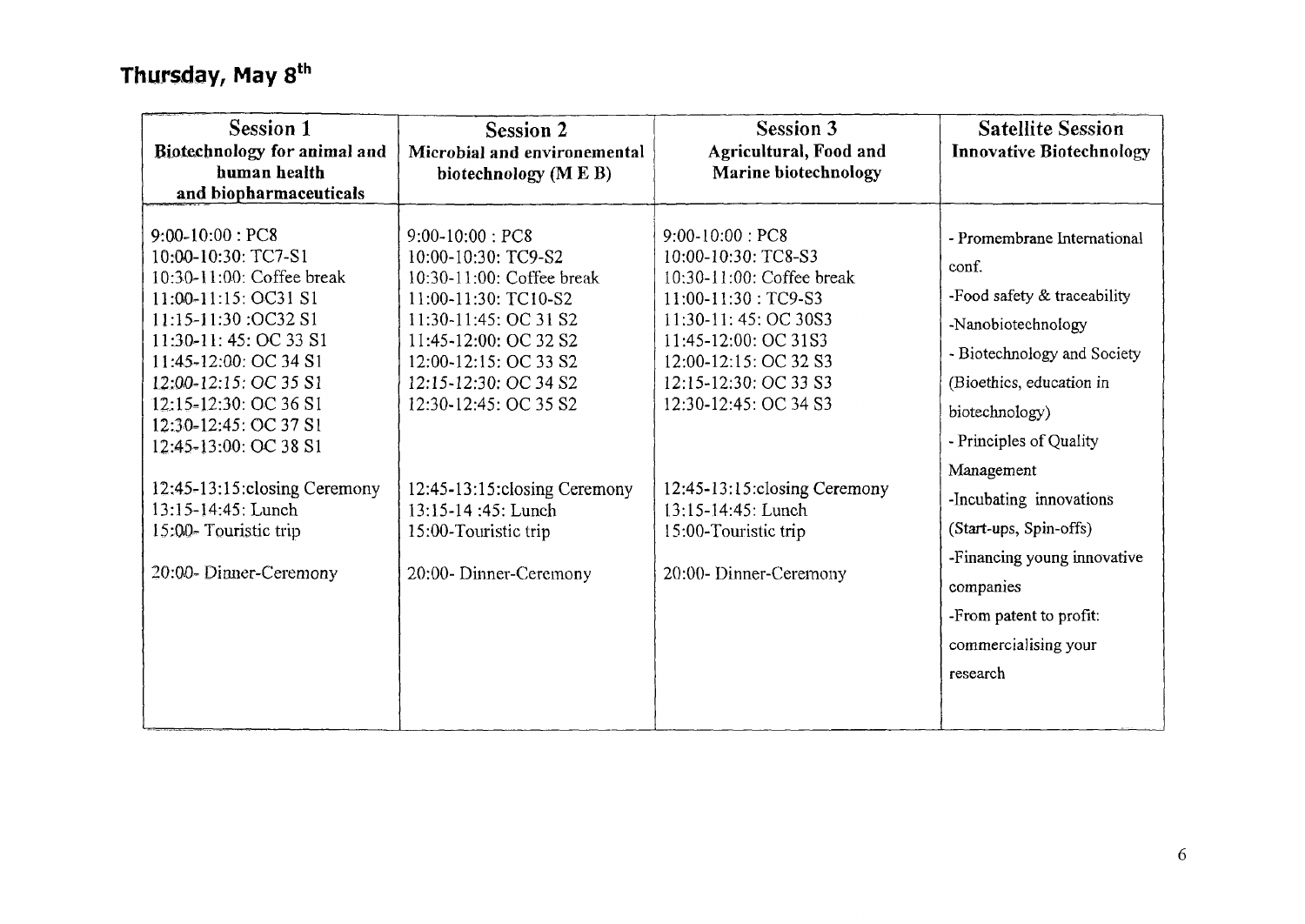## Thursday, May 8<sup>th</sup>

| Session 1<br>Biotechnology for animal and<br>human health<br>and biopharmaceuticals                                                                                                                                                                                           | <b>Session 2</b><br>Microbial and environemental<br>biotechnology (M E B)                                                                                                                                                   | <b>Session 3</b><br>Agricultural, Food and<br>Marine biotechnology                                                                                                                                                      | <b>Satellite Session</b><br><b>Innovative Biotechnology</b>                                                                                                                                       |
|-------------------------------------------------------------------------------------------------------------------------------------------------------------------------------------------------------------------------------------------------------------------------------|-----------------------------------------------------------------------------------------------------------------------------------------------------------------------------------------------------------------------------|-------------------------------------------------------------------------------------------------------------------------------------------------------------------------------------------------------------------------|---------------------------------------------------------------------------------------------------------------------------------------------------------------------------------------------------|
| $9:00-10:00$ : PC8<br>10:00-10:30: TC7-S1<br>10:30-11:00: Coffee break<br>11:00-11:15: OC31 S1<br>11:15-11:30 :OC32 S1<br>11:30-11: 45: OC 33 S1<br>11:45-12:00: OC 34 S1<br>12:00-12:15: OC 35 S1<br>12:15-12:30: OC 36 S1<br>12:30-12:45: OC 37 S1<br>12:45-13:00: OC 38 S1 | $9:00-10:00$ : PC8<br>10:00-10:30: TC9-S2<br>10:30-11:00: Coffee break<br>11:00-11:30: TC10-S2<br>11:30-11:45: OC 31 S2<br>11:45-12:00: OC 32 S2<br>12:00-12:15: OC 33 S2<br>12:15-12:30: OC 34 S2<br>12:30-12:45: OC 35 S2 | $9:00-10:00:PC8$<br>10:00-10:30: TC8-S3<br>10:30-11:00: Coffee break<br>$11:00-11:30:TC9-S3$<br>11:30-11:45: OC 30S3<br>11:45-12:00: OC 31S3<br>12:00-12:15: OC 32 S3<br>12:15-12:30: OC 33 S3<br>12:30-12:45: OC 34 S3 | - Promembrane International<br>conf.<br>-Food safety & traceability<br>-Nanobiotechnology<br>- Biotechnology and Society<br>(Bioethics, education in<br>biotechnology)<br>- Principles of Quality |
| 12:45-13:15: closing Ceremony<br>13:15-14:45: Lunch<br>15:00-Touristic trip<br>20:00-Dinner-Ceremony                                                                                                                                                                          | 12:45-13:15: closing Ceremony<br>13:15-14:45: Lunch<br>15:00-Touristic trip<br>20:00-Dinner-Ceremony                                                                                                                        | 12:45-13:15: closing Ceremony<br>$13:15 - 14:45$ : Lunch<br>15:00-Touristic trip<br>20:00-Dinner-Ceremony                                                                                                               | Management<br>-Incubating innovations<br>(Start-ups, Spin-offs)<br>-Financing young innovative<br>companies<br>-From patent to profit:<br>commercialising your<br>research                        |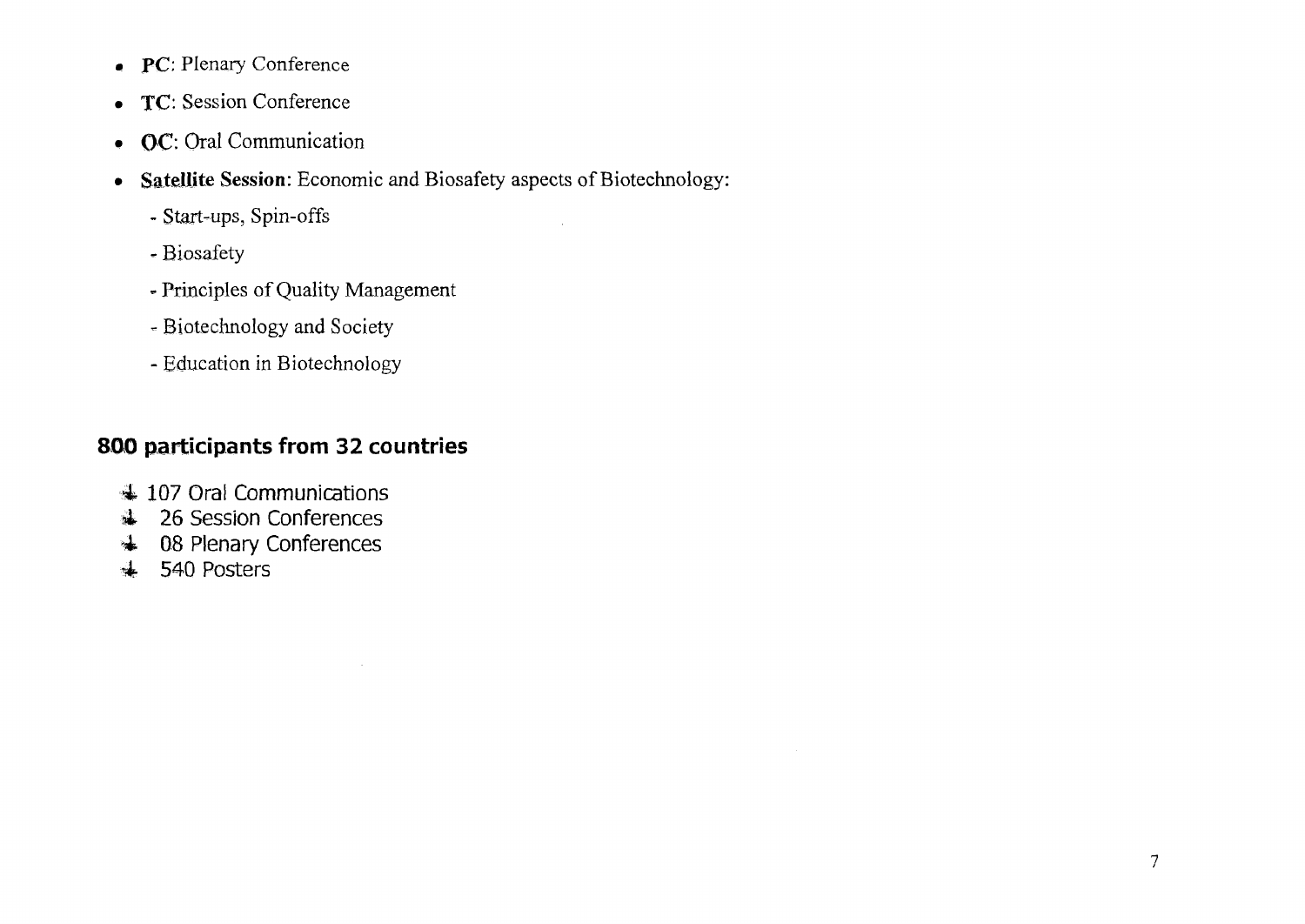- PC: Plenary Conference
- TC: Session Conference
- OC: Oral Communication
- • **Satellite Session:** Economic and Biosafety aspects of Biotechnology:
	- Start-ups, Spin-offs
	- Biosafety
	- Principles of Quality Management
	- Biotechnology and Society
	- Education in Biotechnology

### **800 participants from 32 countries**

- 4 107 Oral Communications
- A 26 Session Conferences
- 4 08 Plenary Conferences
- •é 540 Posters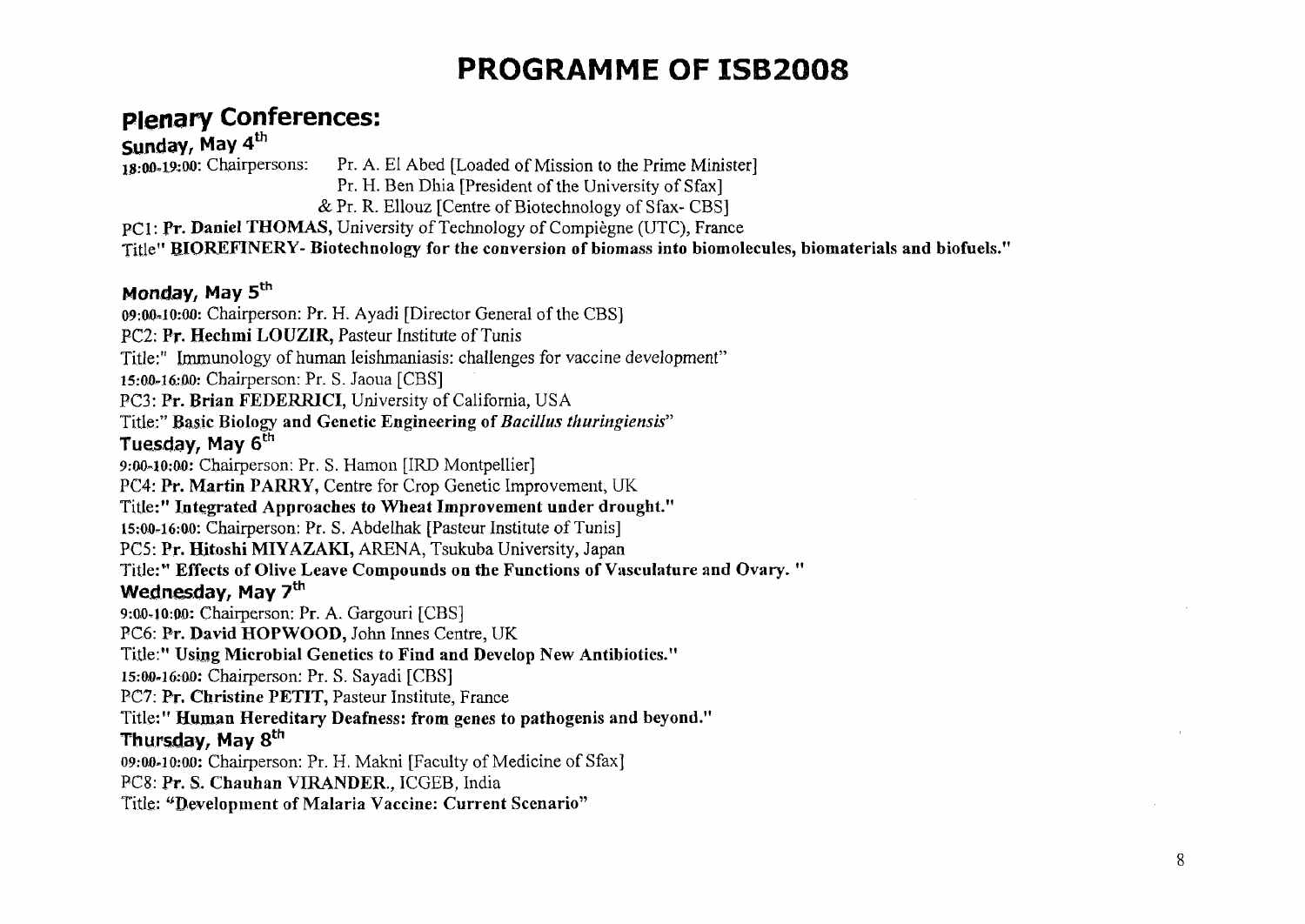# **PROGRAMME OF ISB2008**

## **Plenary Conferences:**

**Sunday, May 4<sup>th</sup> <b>Sunday, May 4**<sup>th</sup> **18:00-19:00**: Chairpersons: Pr. A. El Abed [Loaded of Mission to the Prime Minister] Pr. H. Ben Dhia [President of the University of Sfax]

& Pr. R. Ellouz [Centre of Biotechnology of Sfax- CBS]

PCI: **Pr. Daniel THOMAS,** University of Technology of Compiègne (UTC), France

Title" **RIOREFINERY- Biotechnology for the conversion of biomass into biomolecules, biomaterials and biofuels."** 

#### Monday, May 5<sup>th</sup>

**09:0,0»!0:00:** Chairperson: Pr. H. Ayadi [Director General of the CBS] PC2: **Pr. Hechmi LOUZIR,** Pasteur Institute of Tunis Title:" Immunology of human leishmaniasis: challenges for vaccine development" 15:00-16:00: Chairperson: Pr. S. Jaoua [CBS] PC3: **Pr. Brian FEDERRICI,** University of California, USA Title:" Basic Biology and Genetic Engineering of *Bacillus thuringiensis"*  Tuesday, May 6<sup>th</sup> 9:00-10:00: Chairperson: Pr. S. Hamon [IRD Montpellier] PC4: **Pr. Martin PARRY,** Centre for Crop Genetic Improvement, UK Title:" **Integrated Approaches to Wheat Improvement under drought." 15:0,0-16:0,0:** Chairperson: Pr. S. Abdelhak [Pasteur Institute of Tunis] PCS: **Pr. Hitoshi MIYAZAKI,** ARENA, Tsukuba University, Japan Title:" **Effects of Olive Leave Compounds on the Functions of Vasculature and Ovary.** " Wednesday, May 7<sup>th</sup> 9:00-10:00: Chairperson: Pr. A. Gargouri [CBS] PC6: **Pr. David HOPWOOD,** John Innes Centre, UK Title:" **Using Microbial Genetics to Find and Develop New Antibiotics."**  15:00-16:00: Chairperson: Pr. S. Sayadi [CBS] PC7: **Pr. Christine PETIT,** Pasteur Institute, France Title:" **Human Hereditary Deafness: from genes to pathogenis and beyond."**  Thursday, May 8<sup>th</sup> 09:00-10:00: Chairperson: Pr. H. Makni [Faculty of Medicine of Sfax] PC8: **Pr.** S. **Chauhan VIRANDER.,** ICGEB, India Title: "Development of Malaria Vaccine: Current Scenario"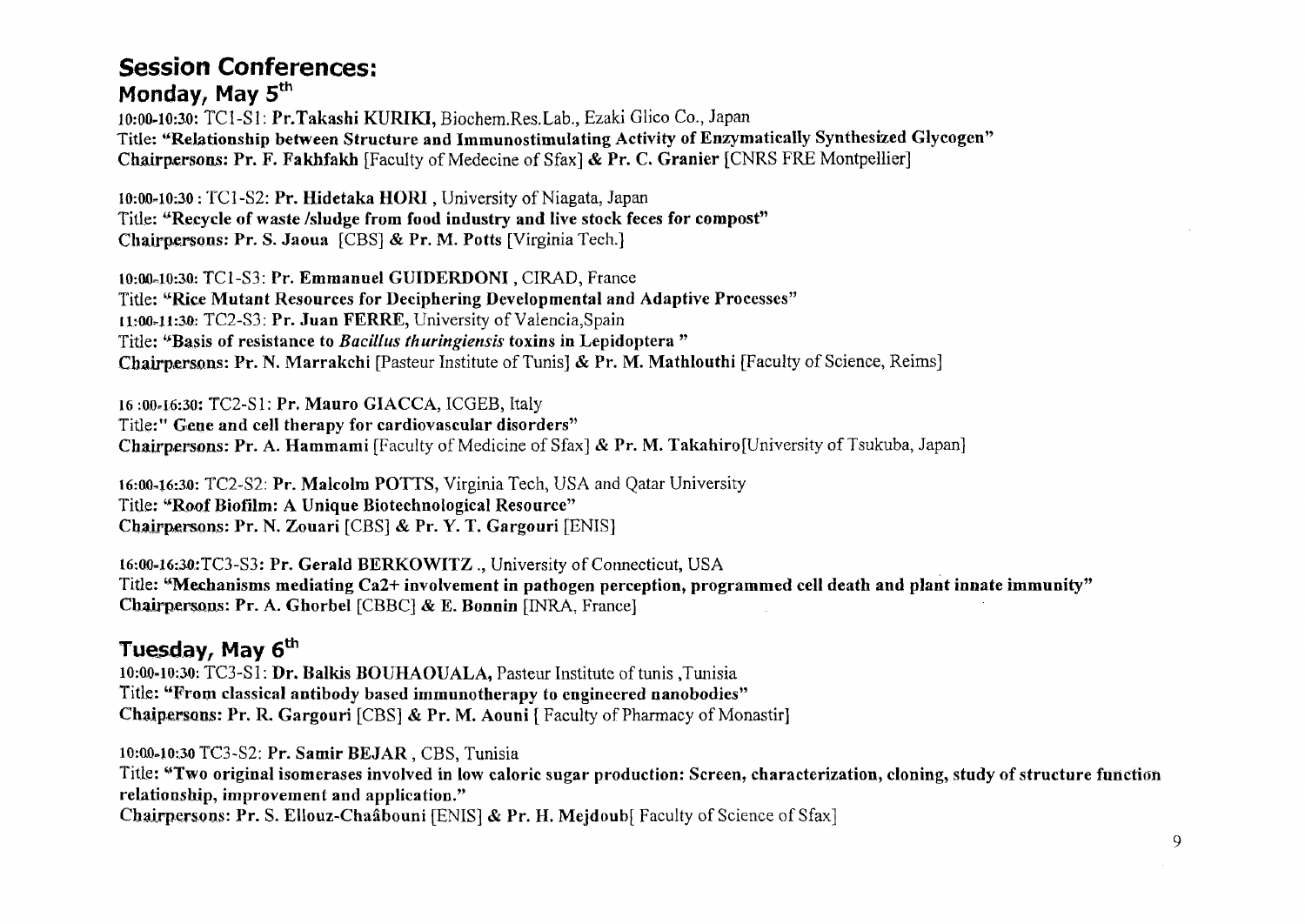#### **Session Conferences: Monday, May 5th**

**10:00-10:30:** TC1-S1: **Pr.Takashi KURIKI,** Biochem.Res.Lab., Ezaki Glico Co., Japan Title: **"Relationship between Structure and Immunostimulating Activity of Enzymatically Synthesized Glycogen" Chairpersons: Pr. F. Fakhfakh** [Faculty of Médecine of Sfax] & **Pr.** C. **Granier** [CNRS FRE Montpellier]

10:0040:30 : TC1-S2: **Pr. Hidetaka HORI**, University of Niagata, Japan Title: **"Recycle of waste /sludge from food industry and live stock feces for compost" Chairpersons: Pr. S. Jaoua** [CBS] & **Pr. M. Potts** [Virginia Tech.]

**10:00-10:30:** TC1-S3: **Pr. Emmanuel GUIDERDONI**, CIRAD, France Title: **"Rice Mutant Resources for Deciphering Developmental and Adaptive Processes" [1:0041:3.0:** TC2-S3: **Pr. Juan FERRE,** University of Valencia,Spain Title: **"Basis of resistance to** *Bacillus thuringiensis* **toxins in Lepidoptera " Chairpersons: Pr. N. Marrakchi** [Pasteur Institute of Tunis] & **Pr. M. Mathlouthi** [Faculty of Science, Reims]

16 :0046:30: TC2-S1: **Pr. Mauro GIACCA,** ICGEB, Italy Title:" **Gene and cell therapy for cardiovascular disorders" Chairpersons: Pr. A. Hammami** [Faculty of Medicine of Sfax] & **Pr.** M. TakahirofUniversity of Tsukuba, Japan]

16:0046:30: TC2-S2: **Pr. Malcolm POTTS,** Virginia Tech, USA and Qatar University Title: **"Roof Biofilm: A Unique Biotechnological Resource" Chairpersons: Pr. N. Zouari** [CBS] & **Pr. Y. T. Gargouri** [EMS]

16:00-16:30:TC3-S3: Pr. Gerald BERKOWITZ ., University of Connecticut, USA Title: **"Mechanisms mediating Ca2+ involvement in pathogen perception, programmed cell death and plant innate immunity" Chairpersons: Pr. A. Ghorbel** [CBBC] & E. **Bonnin** [INRA, France]

#### **Tuesday, May 6th**

**10:0,040:30:** TC3-S1: **Dr. Balkis BOUHAOUALA,** Pasteur Institute of tunis .Tunisia Title: **"From classical antibody based immunotherapy to engineered nanobodies" Chaipersons: Pr. R. Gargouri** [CBS] & Pr. M. Aouni [ Faculty of Pharmacy of Monastir]

**10:00-1030** TC3-S2: **Pr. Samir BEJAR** , CBS, Tunisia Title: **"Two original isomerases involved in low caloric sugar production: Screen, characterization, cloning, study of structure function relationship, improvement and application." Chairpersons: Pr. S. Ellouz-Chaâbouni** [ENIS] *&* **Pr.** H. **Mejdoub[** Faculty of Science of Sfax]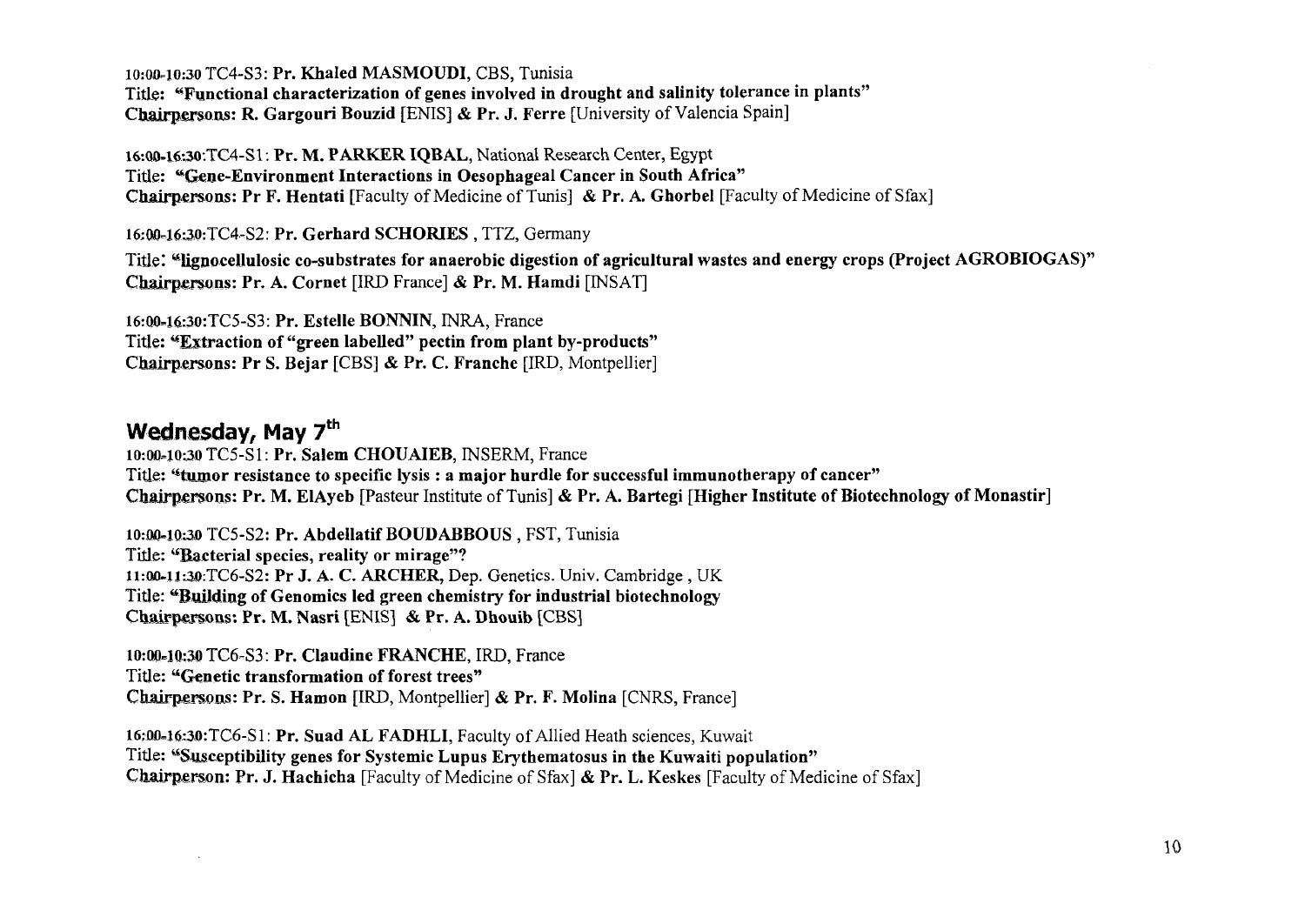10:00.10:30 TC4-S3: **Pr. Khaled MASMOUDI,** CBS, Tunisia Title: **"Functional characterization of genes involved in drought and salinity tolerance in plants" Chairpersons: R. Gargouri Bouzid** [ENIS] & **Pr. J. Ferre** [University of Valencia Spain]

16:QO-16;30-.TC4-S1-. **Pr. M. PARKER IQBAL,** National Research Center, Egypt Title: **"Gene-Environment Interactions in Oesophageal Cancer in South Africa"**  Chairpersons: **Pr F. Hentati** [Faculty of Medicine of Tunis] & **Pr. A. Ghorbel** [Faculty of Medicine of Sfax]

16:00-16:30:TC4-S2: Pr. Gerhard SCHORIES, TTZ, Germany

Title: "lignocellulosic co-substrates for anaerobic digestion of agricultural wastes and energy crops (Project AGROBIOGAS)" **Chairpersons: Pr. A. Cornet** [IRD France] & **Pr. M. Hamdi** [INSAT]

16:Q0-16-:30:TC5-S3: **Pr. Estelle BONNIN,** INRA, France Title: **"Extraction of "green labelled" pectin from plant by-products" Chairpersons: Pr S. Bejar** [CBS] & **Pr. C. Franche** [IRD, Montpellier]

#### Wednesday, May 7<sup>th</sup>

10:00=10:30 TC5-S1: **Pr. Salem CHOUAIEB,** INSERM, France Title: **"tumor resistance to specific lysis : a major hurdle for successful immunotherapy of cancer" Chairpersons: Pr. M. ElAyeb** [Pasteur Institute of Tunis] & **Pr. A. Bartegi [Higher Institute of Biotechnology of Monastir]** 

**10:00=10;30** TC5-S2: **Pr. Abdellatif BOUDABBOUS** , FST, Tunisia Title: **"Bacterial species, reality or mirage"? ll:0ft4l:3i):TC6-S2: Pr J. A. C. ARCHER,** Dep. Genetics. Univ. Cambridge , UK Title: **"Building of Genomics led green chemistry for industrial biotechnology Chairpersons: Pr. M. Nasri** [ENIS] & **Pr. A. Dhouib** [CBS]

10:00-10:30 TC6-S3: Pr. Claudine FRANCHE, IRD, France Title: "Genetic **transformation of forest trees" Chairpersons: Pr. S. Hamon** [IRD, Montpellier] & **Pr. F. Molina** [CNRS, France]

l6;DO=l6:ao:TC6-Sl: **Pr. Suad AL FADHLI,** Faculty of Allied Heath sciences, Kuwait Title: **"Susceptibility genes for Systemic Lupus Erythematosus in the Kuwaiti population" Chairperson: Pr. J. Hachicha** [Faculty of Medicine of Sfax] *&* **Pr.** L. **Keskes** [Faculty of Medicine of Sfax]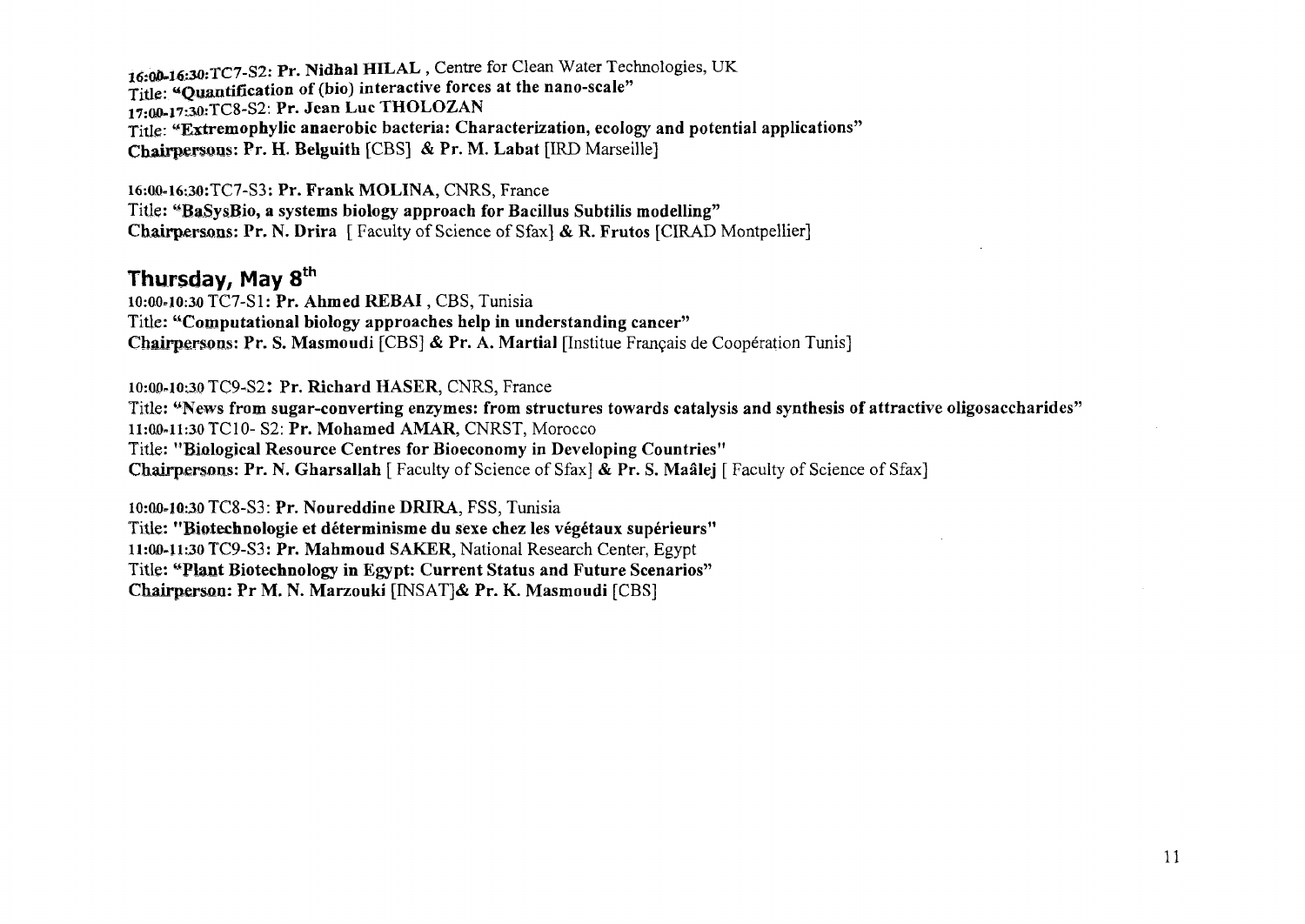16:00-16:30:TC7-S2: Pr. Nidhal HILAL, Centre for Clean Water Technologies, UK Title- **«Quantification of (bio) interactive forces at the nano-scale"**  17:00-17:30:TC8-S2: Pr. Jean Luc THOLOZAN Title: **"Extremophylic anaerobic bacteria: Characterization, ecology and potential applications" Chairpersons: Pr. H. Belguith** [CBS] & **Pr. M. Labat** [IRD Marseille]

16:OJQ-16:30:TC7-S3: **Pr. Frank MOLINA,** CNRS, France Title: **"BaSysBio, a systems biology approach for Bacillus Subtilis modelling" Chairpersons: Pr. N. Drira** [ Faculty of Science of Sfax] & **R. Frutos** [CIRAD Montpellier]

#### **Thursday, May 8th**

**10:00-10:3.0** TC7-S1: **Pr. Ahmed REBAI**, CBS, Tunisia Title: **"Computational biology approaches help in understanding cancer" Chairpersons: Pr. S. Masmoudi** [CBS] & **Pr. A. Martial** [Institue Français de Coopération Tunis]

10:00-10:30 TC9-S2: **Pr. Richard HASER,** CNRS, France

Title: **"News from sugar-converting enzymes: from structures towards catalysis and synthesis of attractive oligosaccharides" 11:00-11:30** TC**10- S2: Pr. Mohamed AMAR,** CNRST, Morocco Title: **"Biological Resource Centres for Bioeconomy in Developing Countries" Chairpersons: Pr. N. Gharsallah** [ Faculty of Science of Sfax] & **Pr.** S. **Maâlej** [ Faculty of Science of Sfax]

**10:00-10:30** TC8-S3: **Pr. Noureddine DRIRA,** FSS, Tunisia Title: **"Biotechnologie et déterminisme du sexe chez les végétaux supérieurs" 11:0fl-l 1:30** TC9-S3 : **Pr. Mahmoud SAKER,** National Research Center, Egypt Title: "Plant Biotechnology in Egypt: Current Status and Future Scenarios" **Chairpersûn: Pr M. N. Marzouki** [INSAT]& **Pr. K. Masmoudi** [CBS]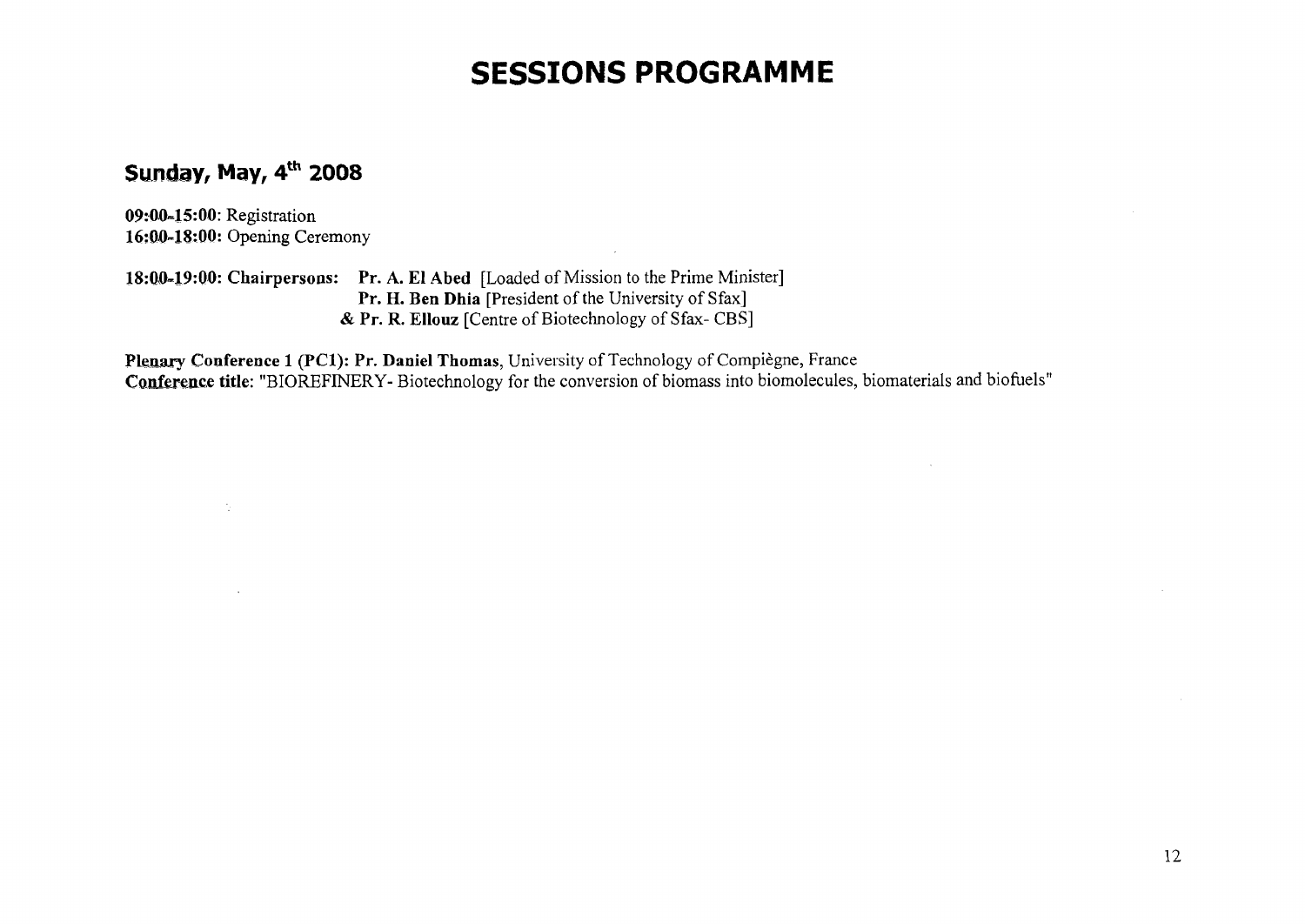## **SESSIONS PROGRAMME**

#### **Sunday, May, 4th 2008**

**09:00-15:00:** Registration **16:0»0-18:00:** Opening Ceremony

 $\gamma$  .

**18:Q0-19:Q0: Chairpersons: Pr. A. El Abed** [Loaded of Mission to the Prime Minister] Pr. H. Ben Dhia [President of the University of Sfax] & **Pr. R. EIlouz** [Centre of Biotechnology of Sfax- CBS]

**Plenary Conference 1 (PCI): Pr. Daniel Thomas,** University of Technology of Compiègne, France Conference title: "BIOREFINERY- Biotechnology for the conversion of biomass into biomolecules, biomaterials and biofuels"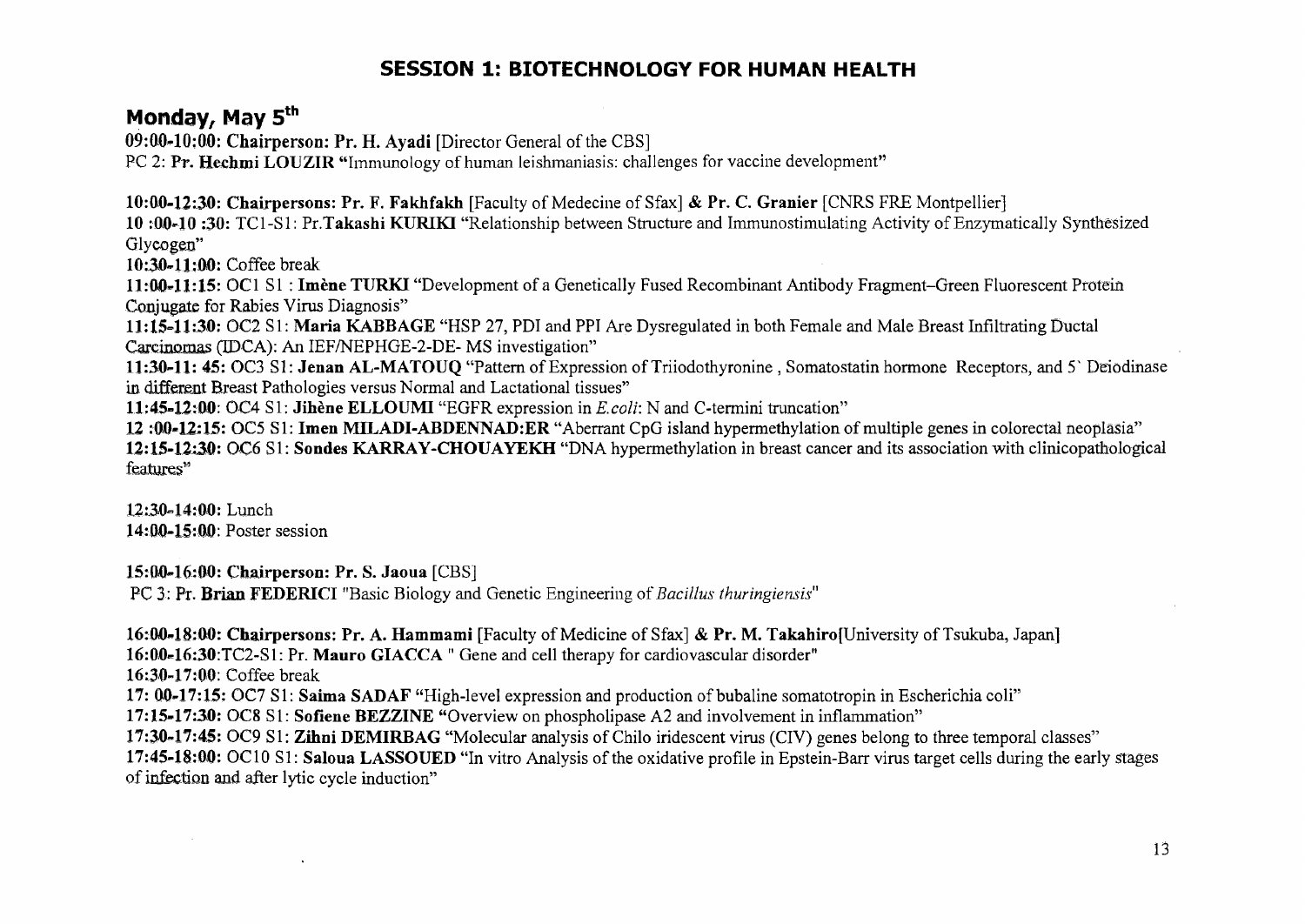#### **SESSION 1: BIOTECHNOLOGY FOR HUMAN HEALTH**

#### **Monday, May 5th**

**09:0040:00: Chairperson: Pr. H. Ayadi** [Director General of the CBS]

PC 2: Pr. Hechmi LOUZIR "Immunology of human leishmaniasis: challenges for vaccine development"

**10:00-12:30: Chairpersons: Pr. F. Fakhfakh** [Faculty of Médecine of Sfax] & **Pr. C. Granier** [CNRS FRE Montpellier]

**10** :**0,0-10 :30:** TCI**-SI: Pr.Takashi KURIKI** "Relationship between Structure and Immunostimulating Activity of Enzymatically Synthesized Glycogen"

**10:30-11:00:** Coffee break

**11:00-11:15:** OC1 SI **: Imène TURKI** "Development of a Genetically Fused Recombinant Antibody Fragment-Green Fluorescent Protein Conjugate for Rabies Virus Diagnosis"

**11:15-11:30:** OC2 SI: **Maria KABBAGE** "HSP 27, PDI and PPI Are Dysregulated in both Female and Male Breast Infiltrating Ductal Carcinomas (TDCA): An IEF/NEPHGE-2-DE- MS investigation"

**11:30-11: 45:** OC3 SI: **Jenan AL-MATOUQ** "Pattern of Expression of Triiodothyronine , Somatostatin hormone Receptors, and 5' Deiodmase in different Breast Pathologies versus Normal and Lactational tissues"

**11:45-12:00:** OC4 SI: **Jihène ELLOUMI** "EGFR expression in *E.coli:* N and C-termini truncation"

**12 :00-12:15:** OC5 SI: **Imen MILADI-ABDENNADîER** "Aberrant CpG island hypermethylation of multiple genes in colorectal neoplasia" **12:15-12:30: OC6** SI: **Sondes KARRAY-CHOUAYEKH** "DNA hypermethylation in breast cancer and its association with clinicopathological features"

**12:30-14:00:** Lunch 14:00-15:00: Poster session

15:00-16:00: **Chairperson:** Pr. S. **Jaoua** [CBS] PC 3: Pr. **Brian FEDERICI** "Basic Biology and Genetic Engineering of *Bacillus thuringiensis"* 

**16:00=18:00: Chairpersons: Pr. A. Hammami** [Faculty of Medicine of Sfax] *&* **Pr. M. Takahiro**[University of Tsukuba, Japan] **16:00-16:30:TC2-S1:** Pr. **Mauro GIACCA** " Gene and cell therapy for cardiovascular disorder" 16:30-17:00: Coffee break **17: 00-17:15:** OC7 SI: **Saima SADAF** "High-level expression and production of bubaline somatotropin in Escherichia coli" **17:15-17:30:** OC8 SI: **Sofiene BEZZINE** "Overview on phospholipase A2 and involvement in inflammation" **17:30-17:45:** OC9 SI: **Zihni DEMIRBAG** "Molecular analysis of Chilo iridescent virus (CIV) genes belong to three temporal classes" **17:45-18:00:** OC10 SI: **Saloua LASSOUED** "In vitro Analysis of the oxidative profile in Epstein-Barr virus target cells during the early stages of infection and after lytic cycle induction"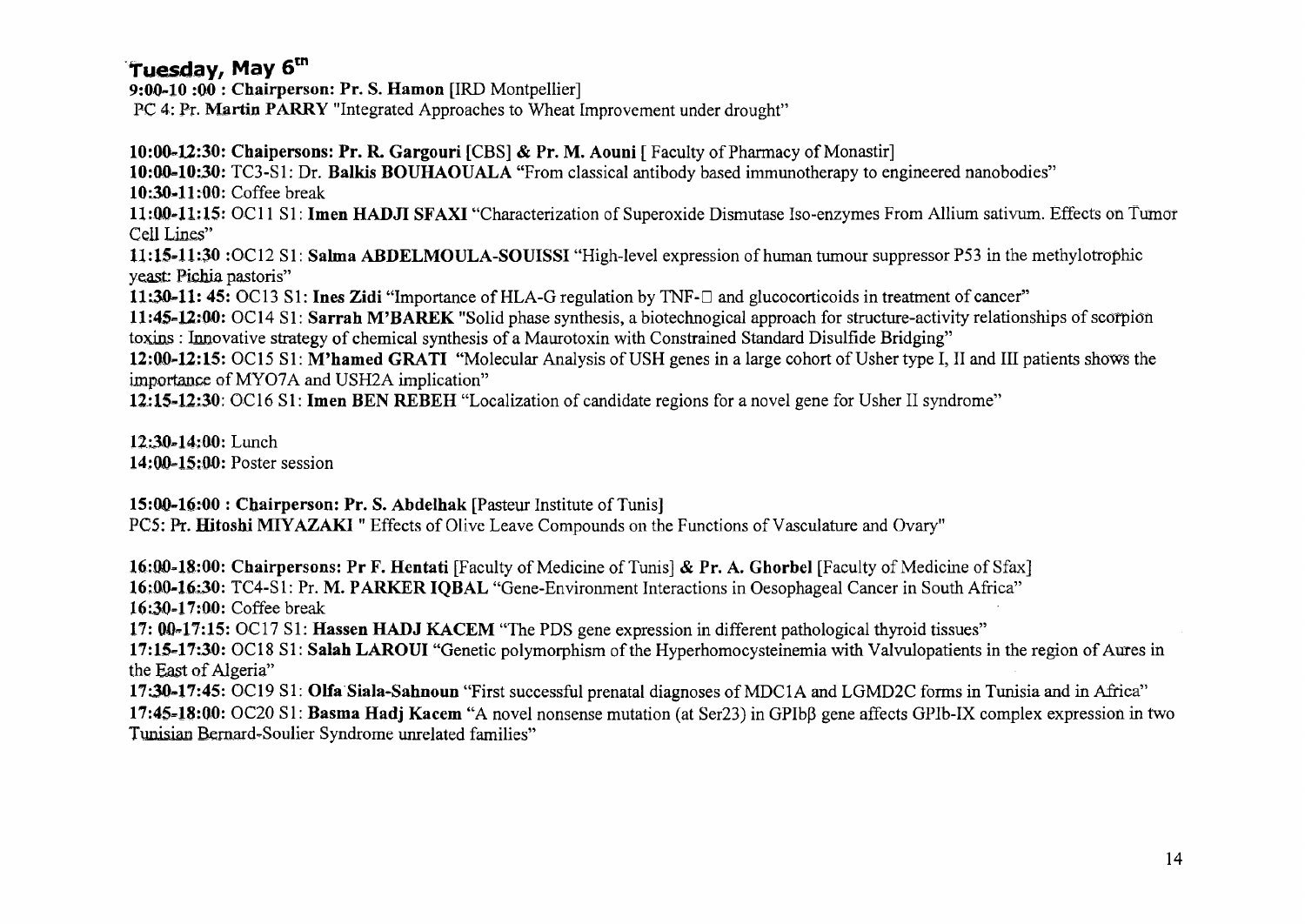#### **Tuesday, May 6tn**

**9:00-10 :00 : Chairperson: Pr. S. Hamon** [IRD Montpellier] PC 4: Pr. **Martin PARRY** "Integrated Approaches to Wheat Improvement under drought"

**10:00-12:30: Chaipersons: Pr. R. Gargouri** [CBS] **& Pr. M. Aouni** [ Faculty of Pharmacy of Monastir]

**10:00=10:30:** TC3-S1: Dr. **Balkis BOUHAOUALA** "From classical antibody based immunotherapy to engineered nanobodies" **10:30-11:00:** Coffee break

**11:00-11:15:** OC1**1** SI **: Imen HADJI SFAXI** "Characterization of Superoxide Dismutase Iso-enzymes From Allium sativum. Effects on Tumor Cell Lines"

**11:15-11:30** :OC12 SI : **Salma ABDELMOULA-SOUISSI** "High-level expression of human tumour suppressor P53 in the methylotrophic yeast: Pichia pastoris"

**11:30-11: 45:** OC13 SI : **Ines Zidi** "Importance of HLA-G regulation by TNF-D and glucocorticoids in treatment of cancer"

**11:45-12:00:** OC14 SI : **Sarrah M'BAREK** "Solid phase synthesis, a biotechnogical approach for structure-activity relationships of scorpion toxins : Innovative strategy of chemical synthesis of a Maurotoxin with Constrained Standard Disulfide Bridging"

**12:00-12:15:** OC15 SI : **M'hamed GRATI** "Molecular Analysis of USH genes in a large cohort of Usher type I, II and III patients shows the importance of MY07A and USH2A implication"

**12:15-12:30:** OC16 SI: **Imen BEN REBEH** "Localization of candidate regions for a novel gene for Usher II syndrome"

**12:30=14:00:** Lunch **14:00=15:00:** Poster session

**15:00-16:00 : Chairperson: Pr. S. Abdelhak** [Pasteur Institute of Tunis] PCS: Pr, **Hitoshi MIYAZAKI** " Effects of Olive Leave Compounds on the Functions of Vasculature and Ovary"

**16:00=18:00: Chairpersons: Pr F. Hentati** [Faculty of Medicine of Tunis] & **Pr. A. Ghorbel** [Faculty of Medicine of Sfax] **16:00-16:30:** TC4-S1: Pr. **M. PARKER IQBAL** "Gene-Environment Interactions in Oesophageal Cancer in South Africa" **16:30-17:00:** Coffee break

**17: 00-17:15:** OC17 SI: **Hassen HADJ KACEM** "The PDS gene expression in different pathological thyroid tissues"

**17:15-17:30:** OC18 SI : **Salah LAROUI** "Genetic polymorphism of the Hyperhomocysteinemia with Valvulopatients in the region of Aures in the East of Algeria"

**17:30-17:45:** OC19 SI **: Olfa Siala-Sahnoun** "First successful prenatal diagnoses of MDC1A and LGMD2C forms in Tunisia and in Africa" **17:45=18:00:** OC20 SI : **Basma Hadj Kacem** "A novel nonsense mutation (at Ser23) in GPIbp gene affects GPIb-IX complex expression in two Tunisian Bernard-Soulier Syndrome unrelated families"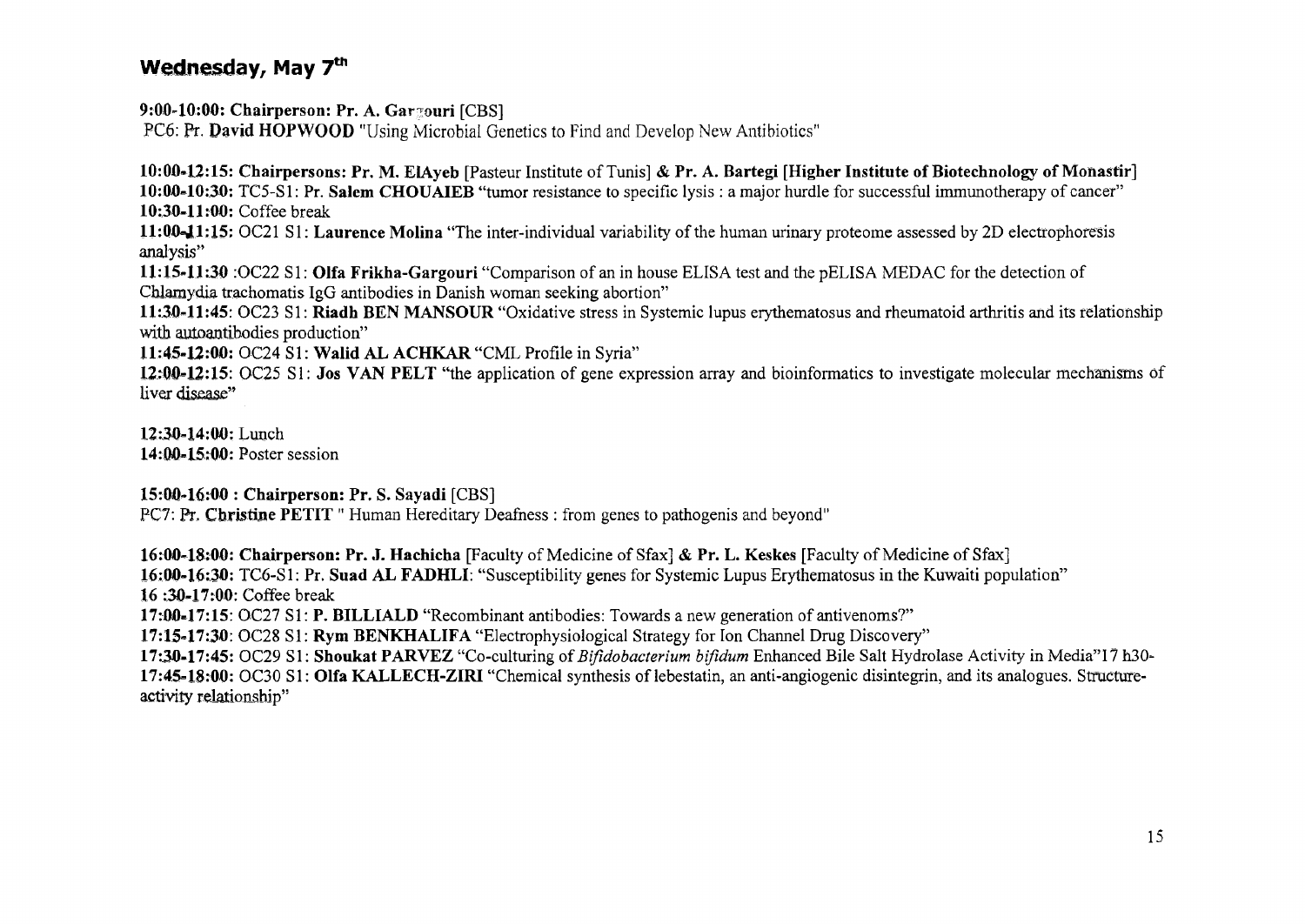#### Wednesday, May 7<sup>th</sup>

**9:00-10:00: Chairperson: Pr. A. Gar^ouri** [CBS]

PC6: Pr. **David HOPWOOD** "Using Microbial Genetics to Find and Develop New Antibiotics"

**10:00\*12:15: Chairpersons: Pr. M. EIAyeb** [Pasteur Institute of Tunis] & **Pr.** A. **Bartegi [Higher Institute of Biotechnology of Monastir] 10:00-10:30:** TC5-S1 : Pr. **Salem CHOUAIEB** "tumor resistance to specific lysis : a major hurdle for successful immunotherapy of cancer" **10:30-11:00:** Coffee break

**11:Q0=JL1;15:** OC21 **SI : Laurence Molina** "The inter-individual variability of the human urinary proteome assessed by 2D electrophoresis analysis"

**11:15-11:30** :OC22 SI : **Olfa Frikha-Gargouri** "Comparison of an in house ELISA test and the pELISA MED AC for the detection of Chlamydia trachomatis IgG antibodies in Danish woman seeking abortion"

**11:30-11:45:** OC23 SI: **Riadh BEN MANSOUR** "Oxidative stress in Systemic lupus erythematosus and rheumatoid arthritis and its relationship with autoantibodies production"

**11:45-12:00:** OC24 S1: Walid AL ACHKAR "CML Profile in Syria"

**12:00-12:15:** OC25 SI: **Jos VAN PELT** "the application of gene expression array and bioinformatics to investigate molecular mechanisms of liver disease"

**12:30-14:00:** Lunch **14:00-15:00:** Poster session

**15:00-16:00 : Chairperson: Pr.** S. **Sayadi** [CBS]

PC7: Pr. Christine PETIT " Human Hereditary Deafness : from genes to pathogenis and beyond"

**16:00-18:00: Chairperson: Pr. J. Hachicha** [Faculty of Medicine of Sfax] & **Pr.** L. Keskes [Faculty of Medicine of Sfax] **16:00-16:30:** TC6-S1: Pr. **Suad AL FADHLI:** "Susceptibility genes for Systemic Lupus Erythematosus in the Kuwaiti population" **16** :30-17:00: Coffee break **17:00=17:15:** OC27 SI: **P. BILLIALD** "Recombinant antibodies: Towards a new generation of antivenoms?" **17:15=17:30:** OC28 **SI: Rym BENKHALIFA** "Electrophysiological Strategy for Ion Channel Drug Discovery"

**17:30-17:45:** OC29 SI : **Shoukat PARVEZ** "Co-culturing of *Bifidobacterium bifidum* Enhanced Bile Salt Hydrolase Activity in Media"! 7 h30- **17:45=18:00:** OC30 SI : **Olfa KALLECH-ZIRI** "Chemical synthesis of lebestatin, an anti-angiogenic disintegrin, and its analogues. Srmctureactivity relationship"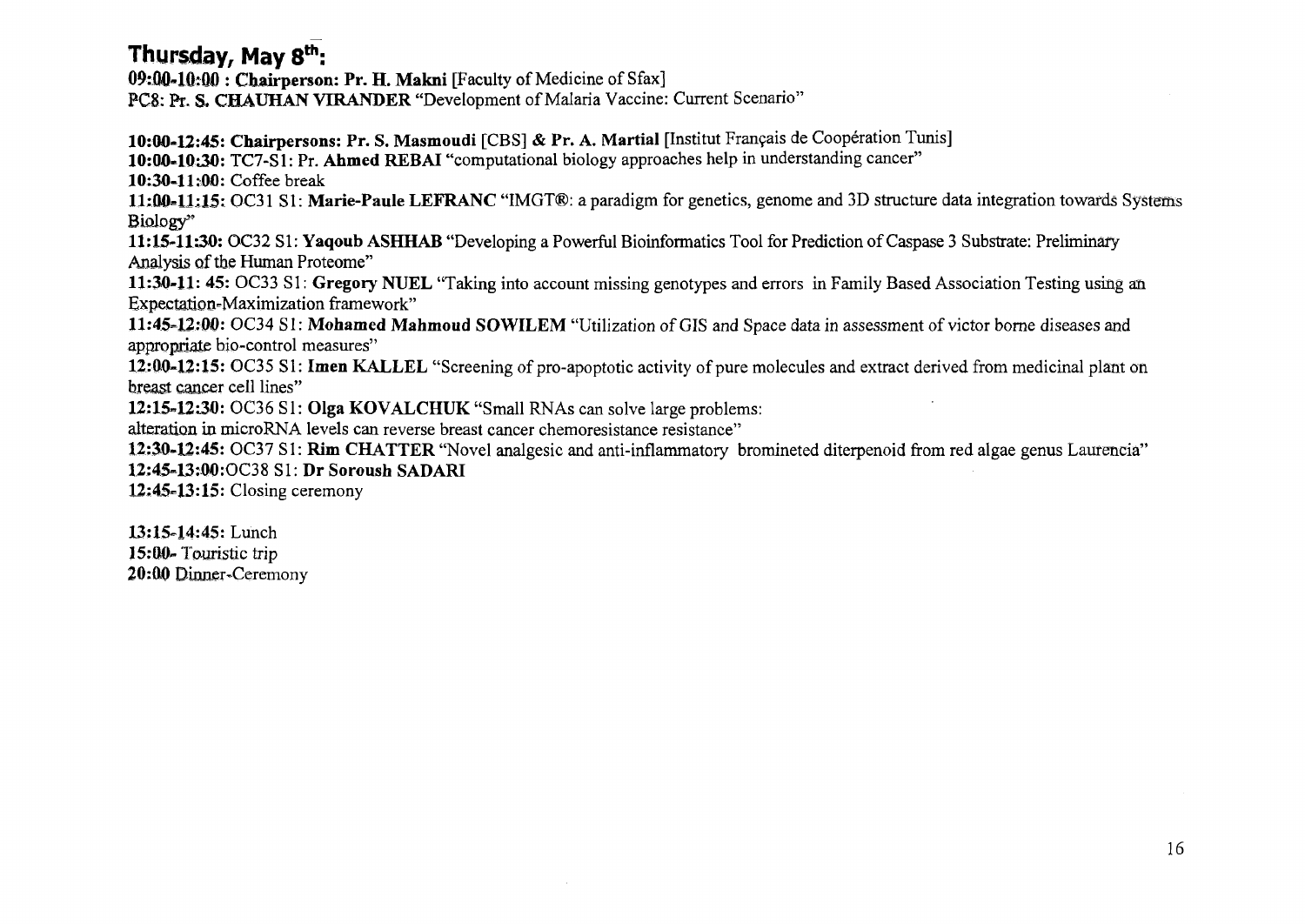#### **Thursday, May 8th:**

**09:00«1Q:QO : Chairperson: Pr. H. Makni** [Faculty of Medicine of Sfax] PCS: **ft.** S. **CHAUHAN VIRANDER** "Development of Malaria Vaccine: Current Scenario"

**10:00-12:45: Chairpersons: Pr. S. Masmoudi** [CBS] & **Pr. A. Martial** [Institut Français de Coopération Tunis]

**10:00-10\*30:** TC7-S1: **Pr. Ahmed REBAI** "computational biology approaches help in understanding cancer"

**10\*30-11\*00:** Coffee break

**11\*00=11:15:** OC31 SI: **Marie-Paule LEFRANC** "IMGT®: a paradigm for genetics, genome and 3D structure data integration towards Systems Biology

**11:15-1130:** OC32 SI: **Yaqoub ASHHAB** "Developing a Powerful Bioinformatics Tool for Prediction of Caspase 3 Substrate: Preliminary Analysis of the Human Proteome"

**11:30-11: 45:** OC33 SI : **Gregory NUEL** "Taking into account missing genotypes and errors in Family Based Association Testing using an Expectation-Maximization framework"

**11:45=12:00:** OC34 SI : **Mohamed Mahmoud SOWILEM** "Utilization of GIS and Space data in assessment of victor borne diseases and appropriate bio-control measures"

**12:00-12:15:** OC35 SI: **Imen KALLEL** "Screening of pro-apoptotic activity of pure molecules and extract derived from medicinal plant on breast cancer cell lines"

**12:15-1230:** OC36 SI: **Olga KOVALCHUK** "Small RNAs can solve large problems:

alteration in microRNA levels can reverse breast cancer chemoresistance resistance"

**12:30-12:45:** OC37 SI: **Rim CHATTER** "Novel analgesic and anti-inflammatory bromineted diterpenoid from red algae genus Laurencia" **12:45-13:00:OC38** S1 : **Dr Soroush SADARI** 

**12:45-13:15:** Closing ceremony

**13:15-14:45:** Lunch **15:00-** Touristic trip **20:00** Dirmer~Ceremony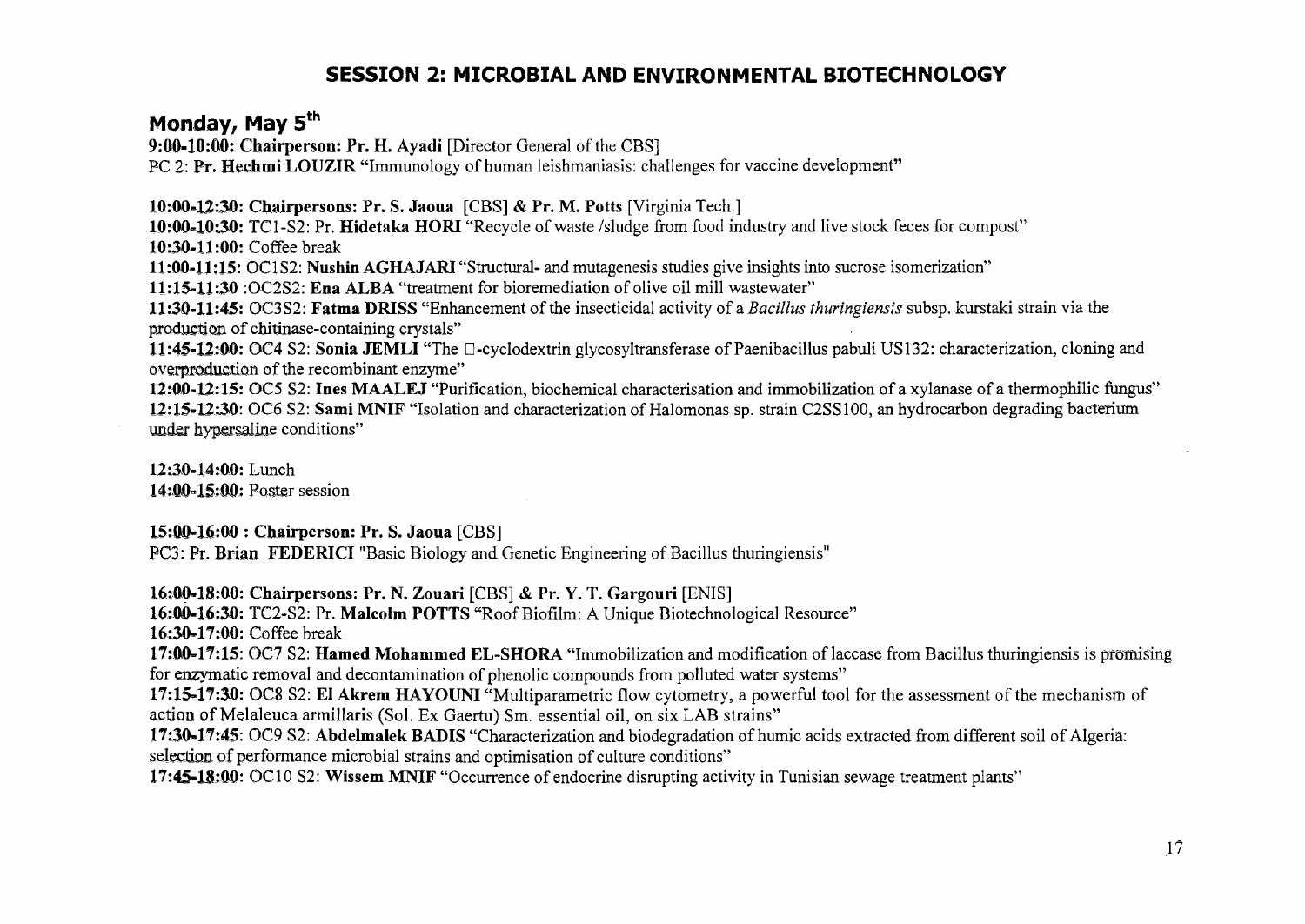#### **SESSION 2: MICROBIAL AND ENVIRONMENTAL BIOTECHNOLOGY**

#### **Monday, May 5th**

**9:00-10:00: Chairperson: Pr. H. Ayadi** [Director General of the CBS]

PC 2: Pr. Hechmi LOUZIR "Immunology of human leishmaniasis: challenges for vaccine development"

**10:00-12:30: Chairpersons: Pr. S. Jaoua** [CBS] & **Pr. M. Potts** [Virginia Tech.]

**10:00-10:30:** TC1-S2: Pr. **Hidetaka HORI** "Recycle of waste /sludge from food industry and live stock feces for compost" **10:30-11:00:** Coffee break

**11:00\*11:15:** OC1S2: **Nushin AGHAJARI** "Structural- and mutagenesis studies give insights into sucrose isomerization"

**11:15-11:30** :OC2S2: **Ena ALBA** "treatment for bioremediation of olive oil mill wastewater"

**11:30=11:45:** OC3S2: **Fatma DRISS** "Enhancement of the insecticidal activity of a *Bacillus thuringiensis* subsp. kurstaki strain via the production of cbitinase-containing crystals"

**11:45-12:00:** OC4 S2: **Sonia JEMLI** "The D-cyclodextrin glycosyltransferase of Paenibacillus pabuli US132: characterization, cloning and overproduction of the recombinant enzyme"

12:00-12:15: OC5 S2: Ines MAALEJ "Purification, biochemical characterisation and immobilization of a xylanase of a thermophilic fungus" **12:15-12:30:** OC6 S2: **Sami MNIF** "Isolation and characterization of Halomonas sp. strain C2SS100, an hydrocarbon degrading bacterium under hypersaline conditions"

**12:30-14:00:** Lunch **14:00-15:00:** Poster session

**15:00-16:00 : Chairperson: Pr. S. Jaoua** [CBS]

PCS: Pr. **Brian FEDERICI** "Basic Biology and Genetic Engineering of Bacillus thuringiensis"

**16:00-18:00: Chairpersons: Pr. N. Zouari** [CBS] & Pr. Y. T. **Gargouri** [ENIS]

**16:00-16;30:** TC2-S2: Pr. **Malcolm POTTS** "Roof Biofilm: A Unique Biotechnological Resource"

**16:30-17:00:** Coffee break

**17:00-17:15:** OC7 S2: **Hamed Mohammed EL-SHORA** "Immobilization and modification of laccase from Bacillus thuringiensis is promising for enzymatic removal and decontamination of phenolic compounds from polluted water systems"

**17:15-17:30:** OC8 S2: **El Akrem HAYOUNI** "Multiparametric flow cytometry, a powerful tool for the assessment of the mechanism of action of Melaleuca armillaris (Sol. Ex Gaertu) Sm. essential oil, on six LAB strains"

**17:30»17:45:** OC9 S2: **Abdelmalek BADIS** "Characterization and biodégradation of humic acids extracted from different soil of Algeria: selection of performance microbial strains and optimisation of culture conditions"

**17:45-18:00:** OC10 S2: Wissem MNIF "Occurrence of endocrine disrupting activity in Tunisian sewage treatment plants"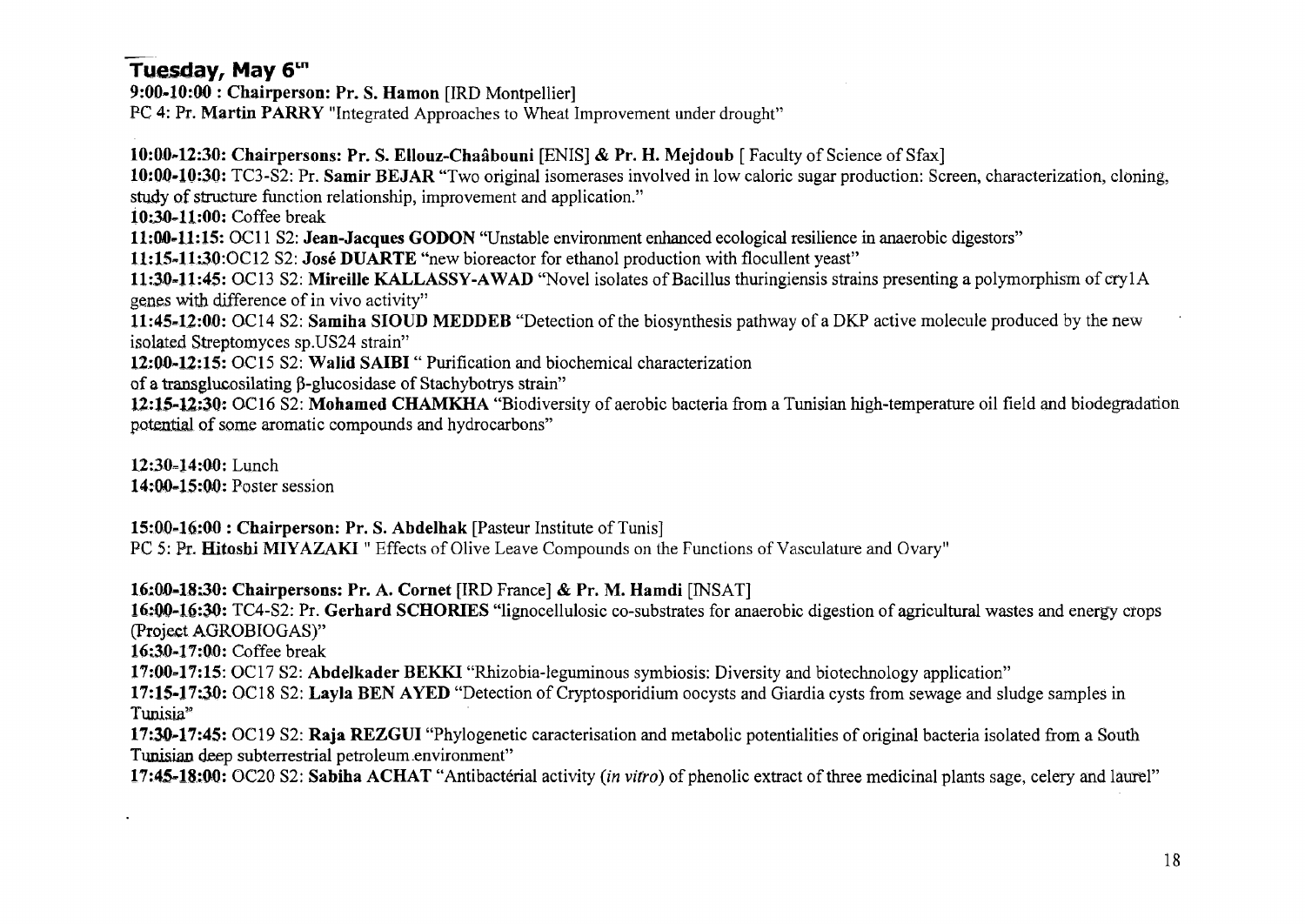#### **Tuesday, May 6tn**

**9:00-10:00 : Chairperson: Pr. S. Hamon** [IRD Montpellier] PC 4: Pr. **Martin PARRY** "Integrated Approaches to Wheat Improvement under drought"

**10:00-12:30: Chairpersons: Pr. S. EHouz-Chaâbouni** [ENIS] & **Pr. H. Mejdoub** [ Faculty of Science of Sfax] **10:0.0-10:30:** TC3-S2: Pr. **Samir BEJAR** "Two original isomerases involved in low caloric sugar production: Screen, characterization, cloning, study of structure function relationship, improvement and application." **10:30-11:00:** Coffee break **11:00-1.1:15:** OC1**1 S2: Jean-Jacques GODON** "Unstable environment enhanced ecological resilience in anaerobic digestors" **U:15-11:30:OC12 S2: José DUARTE** "new bioreactor for ethanol production with flocullent yeast" **11:3.0-11:45:** OC13 S2: **Mireille KALLASSY-AWAD** "Novel isolates of Bacillus thuringiensis strains presenting a polymorphism of crylA genes with difference of in vivo activity" **11:45-12:00:** OC14 S2: **Samiha SIOUD MEDDEB** "Detection of the biosynthesis pathway of a DKP active molecule produced by the new isolated Streptomyces sp.US24 strain" **12:00-12:15:** OC15 S2: **Walid SAIBI** " Purification and biochemical characterization of a transglucosilating β-glucosidase of Stachybotrys strain"

**12:15-12:30:** OC16 S2: **Mohamed CHAMKHA** "Biodiversity of aerobic bacteria from a Tunisian high-temperature oil field and biodégradation potential of some aromatic compounds and hydrocarbons"

**12:30-14:00:** Lunch 14:00-15:00: Poster session

**15:00-16:00 : Chairperson: Pr. S. Abdelhak** [Pasteur Institute of Tunis]

PC 5: Pr. **Hitoshi MIYAZAKI** " Effects of Olive Leave Compounds on the Functions of Vasculature and Ovary"

**16;0fl-18;30: Chairpersons: Pr. A. Cornet** [IRD France] & **Pr. M. Hamdi** [INSAT]

**16:00-16:30:** TC4-S2: Pr. **Gerhard SCHORIES** "lignocellulosic co-substrates for anaerobic digestion of agricultural wastes and energy crops (Project AGROBIOGAS)"

16;3D-17:00: Coffee break

**17:00-17:15:** OC17 S2: **Abdelkader BEKKI** "Rhizobia-leguminous symbiosis: Diversity and biotechnology application"

**17:15-17:30:** OC18 S2: **Layla BEN AYED** "Detection of Cryptosporidium oocysts and Giardia cysts from sewage and sludge samples in Tunisia<sup>"</sup>

**17:30-17:45:** OC19 S2: **Raja REZGUI** "Phylogenetic caracterisation and metabolic potentialities of original bacteria isolated from a South Tunisian deep subterrestrial petroleum .environment"

**17:45-18:0.0:** OC20 S2: **Sabiha ACHAT** "Antibacterial activity *(in vitro)* of phenolic extract of three medicinal plants sage, celery and laurel"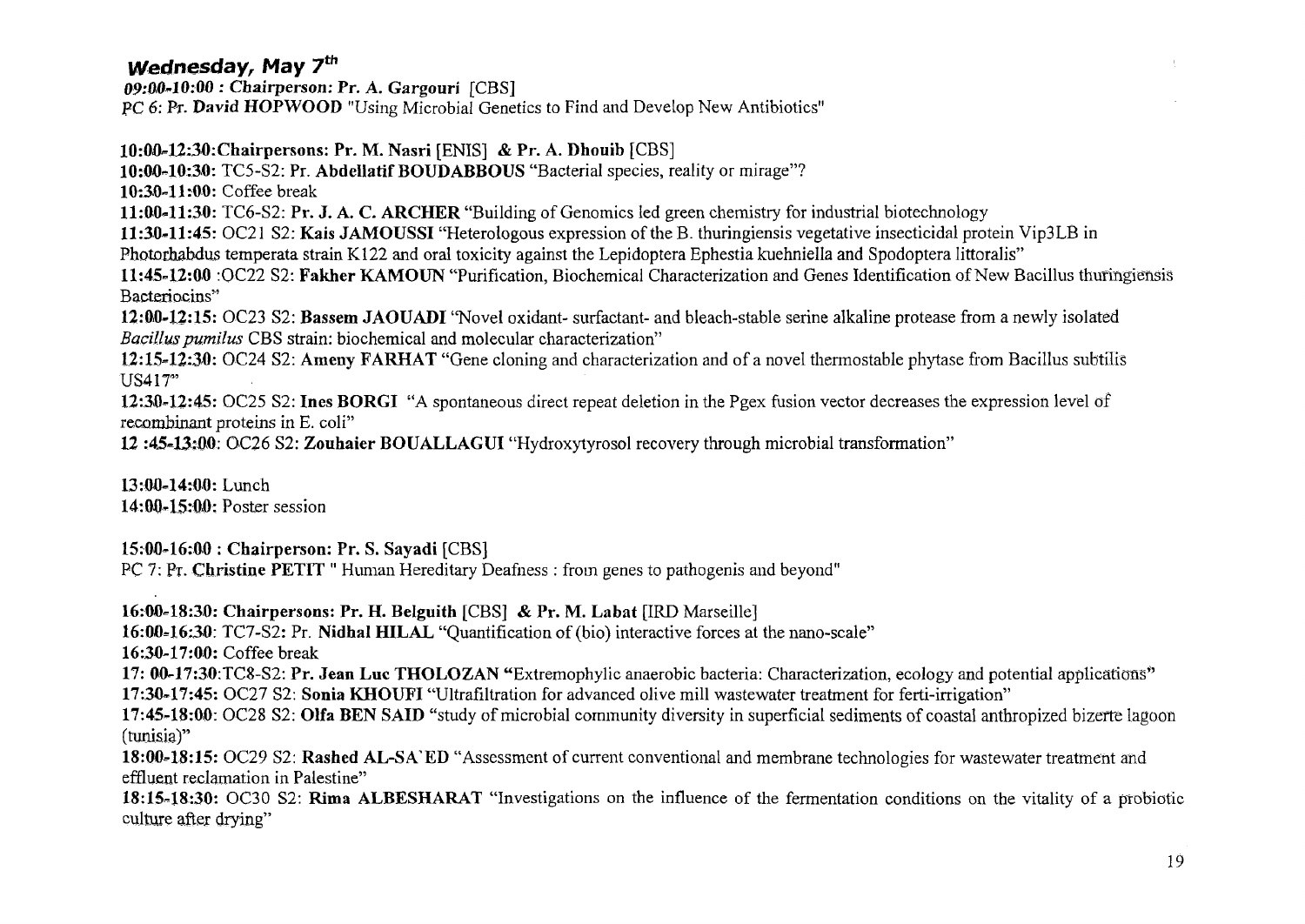## Wednesday, May 7<sup>th</sup>

*09-M'10:00* **: Chairperson: Pr.** *A.* **Gargouri** [CBS] PC 6: PT. **David HOPWOOD** "Using Microbial Genetics to Find and Develop New Antibiotics"

**10:00-12:30:Chairpersons: Pr. M. Nasri** [ENIS] & **Pr.** A. **Dhouib** [CBS] **10:00-10:30:** TC5-S2: Pr. **Abdellatif BOUDABBOUS** "Bacterial species, reality or mirage"? **10:30-11:00:** Coffee break **11:00-11:30:** TC6-S2: **Pr. J. A. C. ARCHER** "Building of Genomics led green chemistry for industrial biotechnology **11:30-11:45:** OC21 S2: **Kais JAMOUSSI** "Heterologous expression of the B. thuringiensis vegetative insecticidal protein Vip3LB in Photorhabdus temperata strain K122 and oral toxicity against the Lepidoptera Ephestia kuehniella and Spodoptera littoralis" **11:45-12:00** :OC22 S2: **Fakher KAMOUN** "Purification, Biochemical Characterization and Genes Identification of New Bacillus thuringiensis Bacteriocins" **12:00-12:15:** OC23 S2: **Bassem JAOUADI** "Novel oxidant- surfactant- and bleach-stable serine alkaline protease from a newly isolated *Bacillus pumilus* CBS strain: biochemical and molecular characterization" **12:15-12:30:** OC24 S2: Ameny **FARHAT** "Gene cloning and characterization and of a novel thermostable phytase from Bacillus subtilis US417" **12:30-12:45:** OC25 S2: **Ines BORGI** "A spontaneous direct repeat deletion in the Pgex fusion vector decreases the expression level of recombinant proteins in E. coli"

**12** :45«13:00: OC26 S2: **Zouhaier BOUALLAGUI** "Hydroxytyrosol recovery through microbial transformation"

**13:00-14:00:** Lunch **14:00-15:00:** Poster session

**15:00-16:00 : Chairperson: Pr. S. Sayadi** [CBS]

PC 7: Pr. Christine **PETIT** " Human Hereditary Deafness : from genes to pathogenis and beyond"

**16:00-18:30: Chairpersons: Pr. H. Belguith** [CBS] & **Pr. M. Labat** [IRD Marseille] **16:00-16:30:** TC7-S2: Pr. **Nidhal HILAL** "Quantification of (bio) interactive forces at the nano-scale" **16:30-17:00:** Coffee break **17: 00-17:30:TC8-S2: Pr. Jean Luc THOLOZAN** "Extremophylic anaerobic bacteria: Characterization, ecology and potential applications" **17:30-17:45:** OC27 S2: **Sonia KHOUFI** "Ultrafiltration for advanced olive mill wastewater treatment for ferti-irrigation" **17:45-18:00:** OC28 S2: **Olfa BEN SAID** "study of microbial community diversity in superficial sediments of coastal anthropized bizerte lagoon (tunisia)" **18:00-18:15:** OC29 S2: **Rashed AL-SA'ED** "Assessment of current conventional and membrane technologies for wastewater treatment and effluent reclamation in Palestine" **18:15-18:30:** OC30 S2: **Rima ALBESHARAT** "Investigations on the influence of the fermentation conditions on the vitality of a probiotic

culture after drying"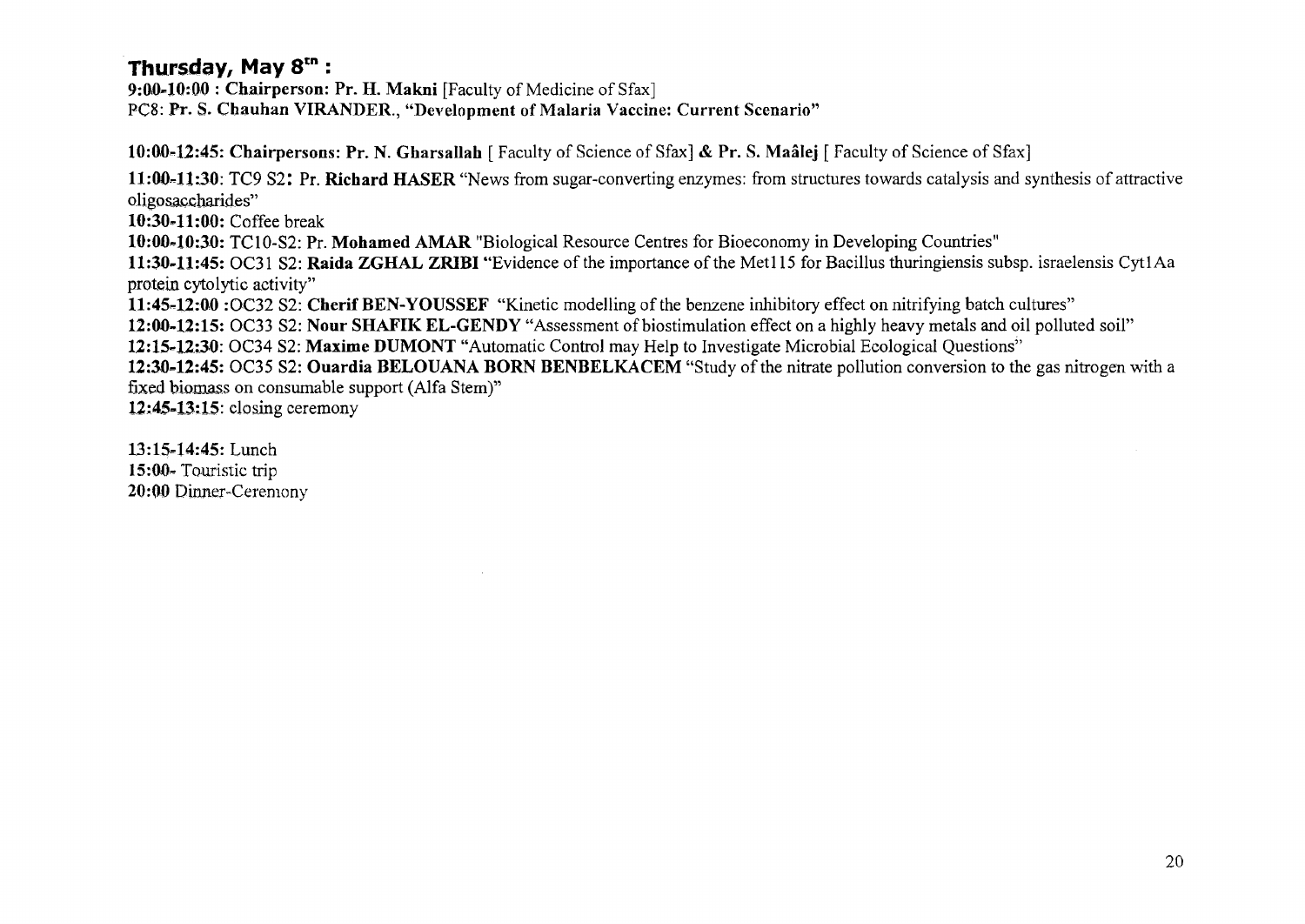#### **Thursday, May 8tn :**

**9:0,040:00** : **Chairperson:** Pr. H. **Makni** [Faculty of Medicine of Sfax] PC8: Pr. S. Chauhan VIRANDER., "Development of Malaria Vaccine: Current Scenario"

10:00-12:45: Chairpersons: Pr. N. Gharsallah [ Faculty of Science of Sfax] & Pr. S. Maâlej [ Faculty of Science of Sfax]

**11:00-11:30:** TC9 **S2I Pr. Richard HASER** "News from sugar-converting enzymes: from structures towards catalysis and synthesis of attractive oligosaccharides"

**10:30.11:00:** Coffee break

**10:00-10:30:** TC10-S2: Pr. **Mohamed AMAR** "Biological Resource Centres for Bioeconomy in Developing Countries"

**11:30-11:45:** OC31 S2: **Raida ZGHAL ZRIBI** "Evidence of the importance of the Metl 15 for Bacillus thuringiensis subsp. israelensis CytlAa protein cytolytic activity"

**11:45-12:00** :OC32 S2: **Cherif BEN-YOUSSEF** "Kinetic modelling of the benzene inhibitory effect on nitrifying batch cultures"

**12:00-12:15:** OC33 S2: **Nour SHAFIK EL-GENDY** "Assessment of biostimulation effect on a highly heavy metals and oil polluted soil"

**12:15-12:30:** OC34 S2: **Maxime DUMONT** "Automatic Control may Help to Investigate Microbial Ecological Questions"

**12:30-12:45:** OC35 S2: **Ouardia BELOUANA BORN BENBELKACEM** "Study of the nitrate pollution conversion to the gas nitrogen with a fixed biomass on consumable support (Alfa Stem)"

**12:45-13:15:** closing ceremony

13:15-14:45: Lunch 15:00» Touristic trip 20:00 Dinner-Ceremony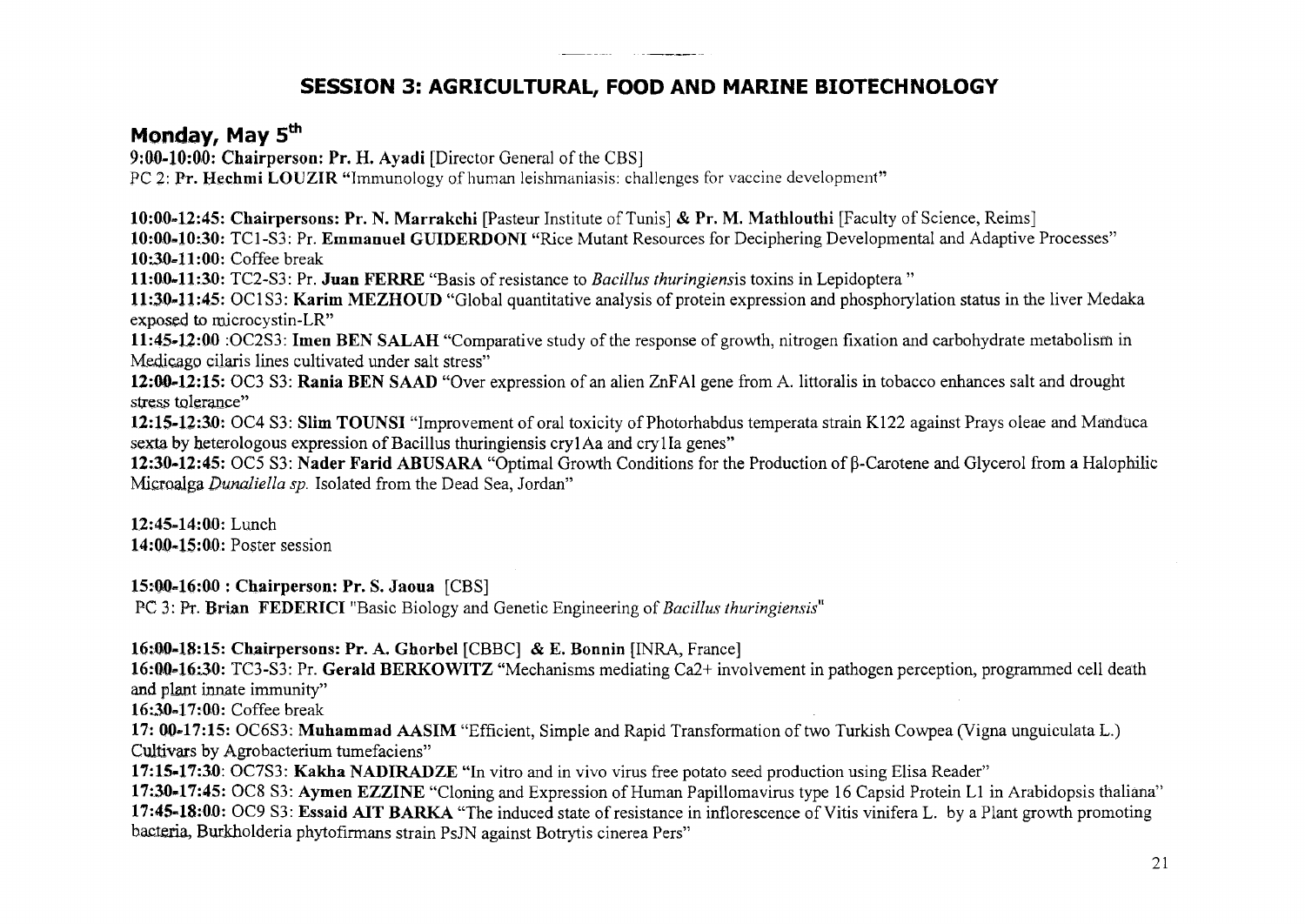#### **SESSION 3: AGRICULTURAL, FOOD AND MARINE BIOTECHNOLOGY**

#### **Monday, May 5th**

**9:00-10:00: Chairperson: Pr. H. Ayadi** [Director General of the CBS] PC 2: **Pr. Hechmi LOUZIR** "Immunology of human leishmaniasis: challenges for vaccine development"

**10:00-12:45: Chairpersons: Pr. N. Marrakchi** [Pasteur Institute of Tunis] & **Pr. M. Mathlouthi** [Faculty of Science, Reims] **10:00-10:30:** TCI**-S3:** Pr. **Emmanuel GUIDERDONI** "Rice Mutant Resources for Deciphering Developmental and Adaptive Processes" **10:30-11:00:** Coffee break

**11:00-11:30:** TC2-S3: Pr. **Juan FERRE** "Basis of resistance to *Bacillus thuringiensis* toxins in Lepidoptera "

**11:30-11:45:** OC1S3: **Karim MEZHOUD** "Global quantitative analysis of protein expression and phosphorylation status in the liver Medaka exposed to microcystin-LR"

**11:45-12:00** :OC2S3: **Imen BEN SALAH** "Comparative study of the response of growth, nitrogen fixation and carbohydrate metabolism in Medicago eilaris lines cultivated under salt stress"

**12:00-12:15:** OC3 S3: **Rania BEN SAAD** "Over expression of an alien ZnFAl gene from A. littoralis in tobacco enhances salt and drought stress tolerance"

**12:15-12:30:** OC4 S3: **Slim TOUNSI** "Improvement of oral toxicity of Photorhabdus temperata strain K122 against Prays oleae and Manduca sexta by heterologous expression of Bacillus thuringiensis cry1Aa and cry1Ia genes"

**12:30-12:45:** OC5 S3: **Nader Farid ABUSARA** "Optimal Growth Conditions for the Production of p-Carotene and Glycerol from a Halophilic Microalga *Dunaliella sp.* Isolated from the Dead Sea, Jordan"

**12:45-14:00:** Lunch **14:00-15:00.:** Poster session

**15:00-16:00 : Chairperson: Pr. S. Jaoua** [CBS]

PC 3: Pr. Brian FEDERICI "Basic Biology and Genetic Engineering of *Bacillus thuringiensis*"

**16:00-18:15: Chairpersons: Pr. A. Ghorbel** [CBBC] & E. Bonnin [INRA, France]

**16:00=16:30:** TC3-S3: Pr. **Gerald BERKOWITZ** "Mechanisms mediating Ca2+ involvement in pathogen perception, programmed cell death and plant innate immunity"

16:30=17:00: Coffee break

**17: 00-17:15:** OC6S3: **Muhammad AASIM** "Efficient, Simple and Rapid Transformation of two Turkish Cowpea (Vigna unguiculata L.) Cultivars by Agrobacterium tumefaciens"

**17:15-17:30:** OC7S3: **Kakha NADIRADZE** "In vitro and in vivo virus free potato seed production using Elisa Reader"

**17:30-17:45:** OC8 S3: **Aymen EZZINE** "Cloning and Expression of Human Papillomavirus type 16 Capsid Protein LI in Arabidopsis thaliana" **17:45-18:00:** OC9 S3: **Essaid AIT BARKA** "The induced state of resistance in inflorescence of Vitis vinifera L. by a Plant growth promoting bacteria, Burkholderia phytofirmans strain PsJN against Botrytis cinerea Pers"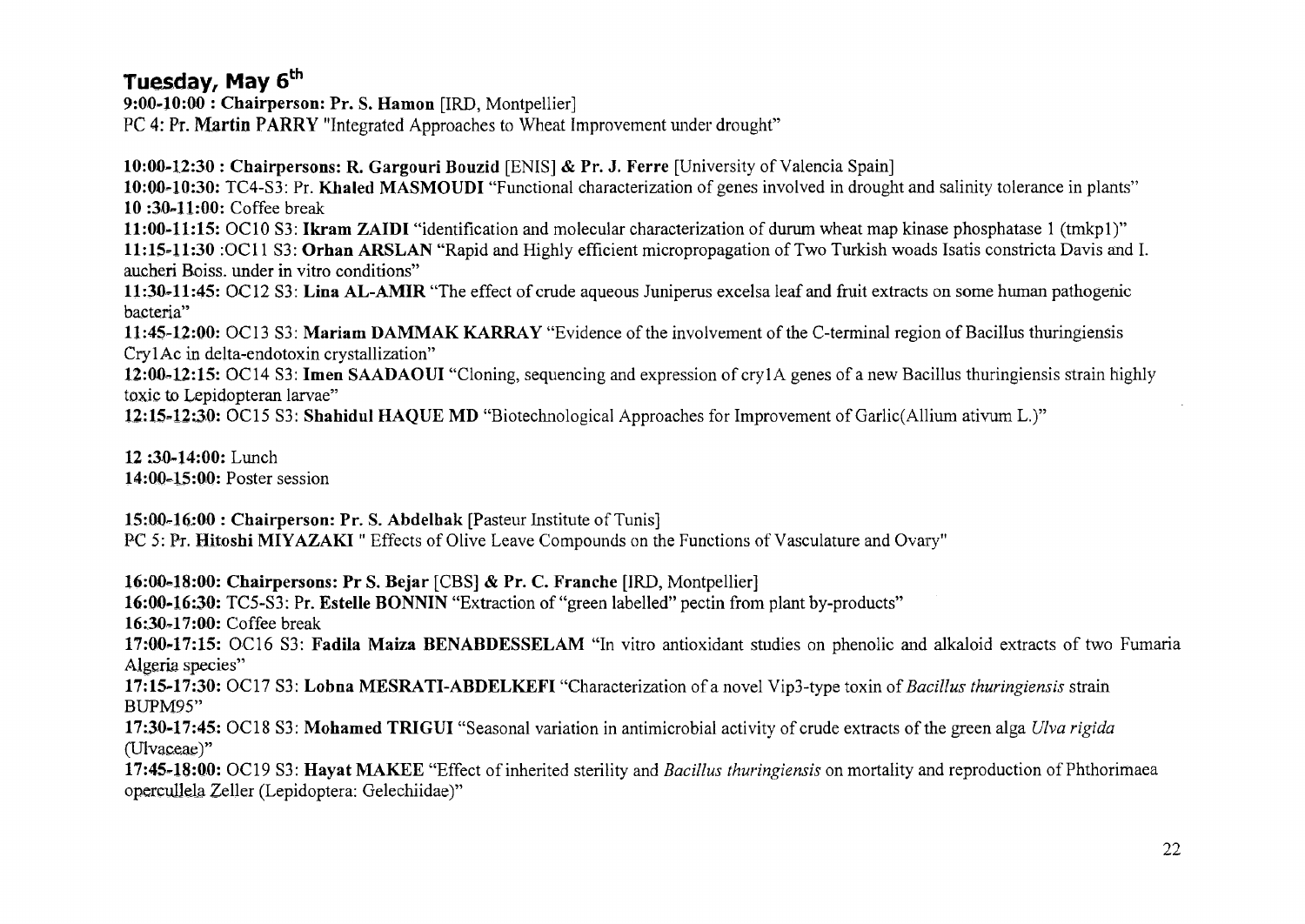#### **Tuesday, May 6th**

**9:00-10:00 : Chairperson: Pr. S. Hamon** [IRD, Montpellier]

PC 4: Pr. **Martin PARRY** "Integrated Approaches to Wheat Improvement under drought"

**10:00-12:30 : Chairpersons: R. Gargouri Bouzid** [ENIS] & Pr. J. Ferre [University of Valencia Spain]

**10:00-10:30:** TC4-S3: Pr. **Khaled MASMOUDI** "Functional characterization of genes involved in drought and salinity tolerance in plants" **10 :30-ll:00:** Coffee break

**11:00-11:15:** OC10 **S3: Ikram ZAIDI** "identification and molecular characterization of durum wheat map kinase phosphatase 1 (tmkpl)" **11:15-11:30** :OCl **1 S3: Orhan ARSLAN** "Rapid and Highly efficient micropropagation of Two Turkish woads Isatis constricta Davis and I. aucheri Boiss. under in vitro conditions"

**11:30-11:45:** OC12 **S3: Lina AL-AMIR** "The effect of crude aqueous Juniperus excelsa leaf and fruit extracts on some human pathogenic bacteria"

**11:45-12:00:** OC13 S3: **Mariam DAMMAK KARRAY** "Evidence of the involvement of the C-terminal region of Bacillus thuringiensis CrylAc in delta-endotoxin crystallization"

12:00-12:15: OC14 S3: **Imen SAADAOUI** "Cloning, sequencing and expression of crylA genes of a new Bacillus thuringiensis strain highly toxic to Lepidopteran larvae"

12:15-12:30: OC15 S3: Shahidul HAQUE MD "Biotechnological Approaches for Improvement of Garlic(Allium ativum L.)"

**12 :30-14:00:** Lunch **14:00-15:00:** Poster session

**15:00-16:00 : Chairperson: Pr. S. Abdelhak** [Pasteur Institute of Tunis] PC 5: Pr. **Hitoshi** MIYAZAKI " Effects of Olive Leave Compounds on the Functions of Vasculature and Ovary"

**16:00-18:00: Chairpersons: Pr S. Bejar** [CBS] & **Pr. C. Franche** [IRD, Montpellier]

**16:00-16:30:** TC5-S3 **: Pr. Estelle BONNIN** "Extraction of "green labelled" pectin from plant by-products"

**16:30-17:00:** Coffee break

**17:00-17:15:** OC16 S3: **Fadila Maiza BENABDESSELAM** "In vitro antioxidant studies on phenolic and alkaloid extracts of two Fumaria Algeria species"

**17:15-17:30:** OC17 S3: **Lobna MESRATI-ABDELKEFI** "Characterization of a novel Vip3-type toxin of *Bacillus thuringiensis* strain BUPM95"

**17:30-17:45:** OC18 **S3: Mohamed TRIGUI** "Seasonal variation in antimicrobial activity of crude extracts of the green alga *Ulva rigida*  (Ulvaceae)"

**17:45-18:00:** OC19 S3: **Hayat MAKEE** "Effect of inherited sterility and *Bacillus thuringiensis* on mortality and reproduction of Phthorimaea opercuJJeia Zeller (Lepidoptera: Gelechiidae)"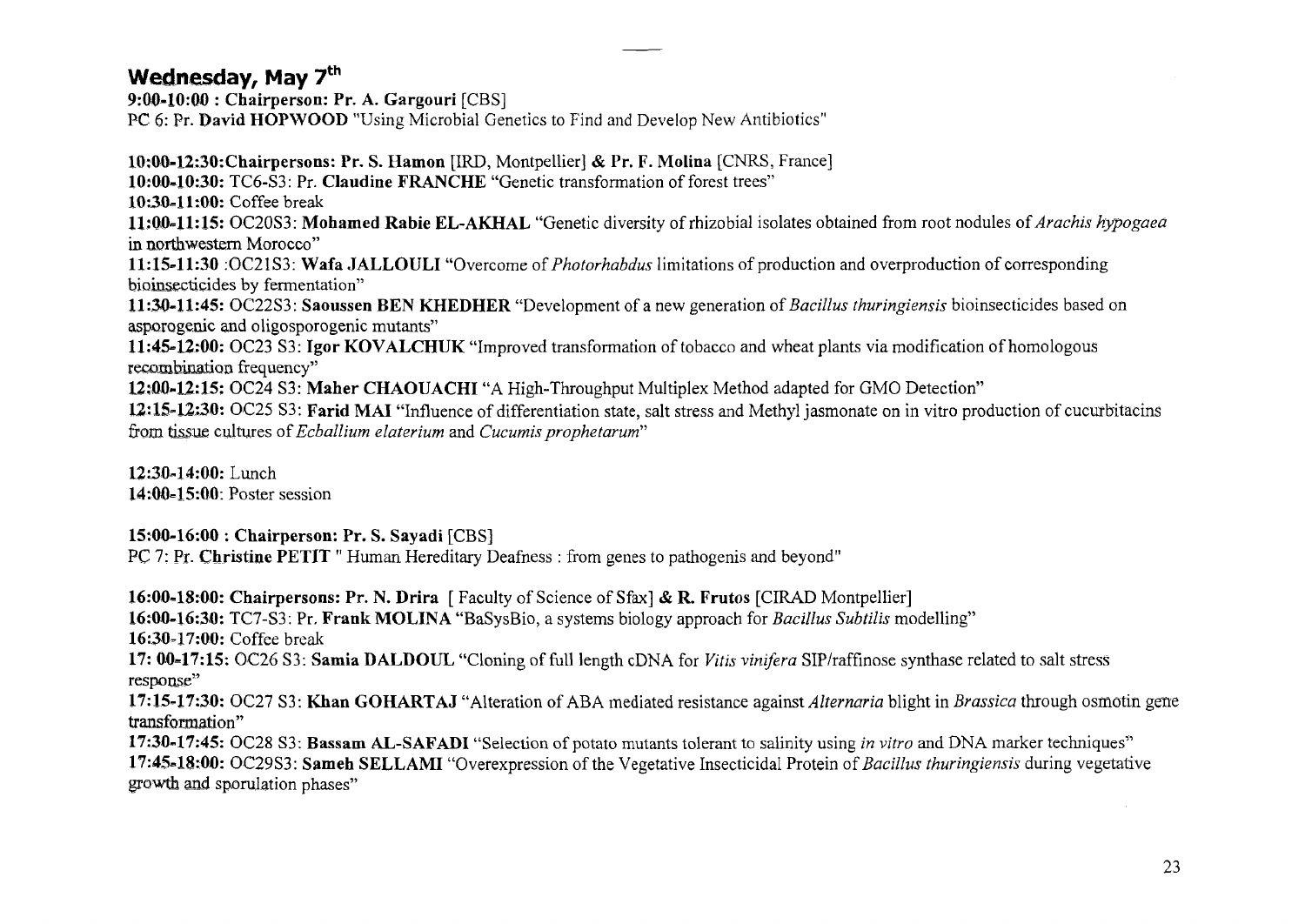#### **Wednesday, May 7th**

**9:00-10:00 : Chairperson: Pr. A. Gargouri** [CBS] PC 6: Pr. **David HOPWOOD** "Using Microbial Genetics to Find and Develop New Antibiotics"

**10:00-12:30:Chairpersons: Pr. S. Hamon** [IRD, Montpellier] & **Pr. F. Molina** [CNRS, France] **10:00-10:30:** TC6-S3: Pr. **Claudine FRANCHE** "Genetic transformation of forest trees" **10:30-11:00:** Coffee break **11:00-11:15:** OC20S3: **Mohamed Rabie EL-AKHAL** "Genetic diversity of rhizobial isolates obtained from root nodules of *Avachis hypogaea*  in northwestern Morocco" **11:15-11:30** :OC21S3: **Wafa JALLOULI** "Overcome of *Photorhabdus* limitations of production and overproduction of corresponding bioinsecticides by fermentation" **11:30-11:45:** OC22S3: **Saoussen BEN KHEDHER** "Development of a new generation of *Bacillus thuringiensis* bioinsecticides based on asporogenic and oligosporogenic mutants" **11:45-12:00:** OC23 S3: **Igor KOVALCHUK** "Improved transformation of tobacco and wheat plants via modification of homologous recombination frequency" **12;0Q-12:15:** OC24 S3: **Maher CHAOUACHI** "A High-Throughput Multiplex Method adapted for GMO Detection" 12:15-12:30: OC25 S3: Farid MAI "Influence of differentiation state, salt stress and Methyl jasmonate on in vitro production of cucurbitacins from tissue cultures of *Ecballium elaterium* and *Cucumis prophetarum"* 

12:30-14:00: Lunch **14:00=15:00:** Poster session

**15:00-16:00 : Chairperson: Pr. S. Sayadi** [CBS]

PC 7: Pr. **Christine PETIT** " Human Hereditary Deafness : from genes to pathogenis and beyond"

**16:00-18:00: Chairpersons: Pr. N. Drira** [ Faculty of Science of Sfax] & R. Frutos [CIRAD Montpellier] **16:0.0-16:30:** TC7-S3: Pr. **Frank MOLINA** "BaSysBio, a systems biology approach for *Bacillus Subtilis* modelling" 16:30-17:00: Coffee break

**17: 00-17:15:** OC26 S3: **Samia DALDOUL** "Cloning of full length cDNA for *Vitis vinifera* SlP/raffmose synthase related to salt stress response"

**17:15-17:30:** OC27 S3: **Khan GOHARTAJ** "Alteration of ABA mediated resistance against *Alternaria* blight in *Brassica* through osmotin gene transformation"

**17:30-17:45:** OC28 S3: Bassam AL-SAFADI "Selection of potato mutants tolerant to salinity using *in vitro* and DNA marker techniques" **17:45-18:00:** OC29S3: **Sameh SELLAMI** "Overexpression of the Vegetative Insecticidal Protein *of Bacillus thuringiensis* during vegetative growth and sporulation phases"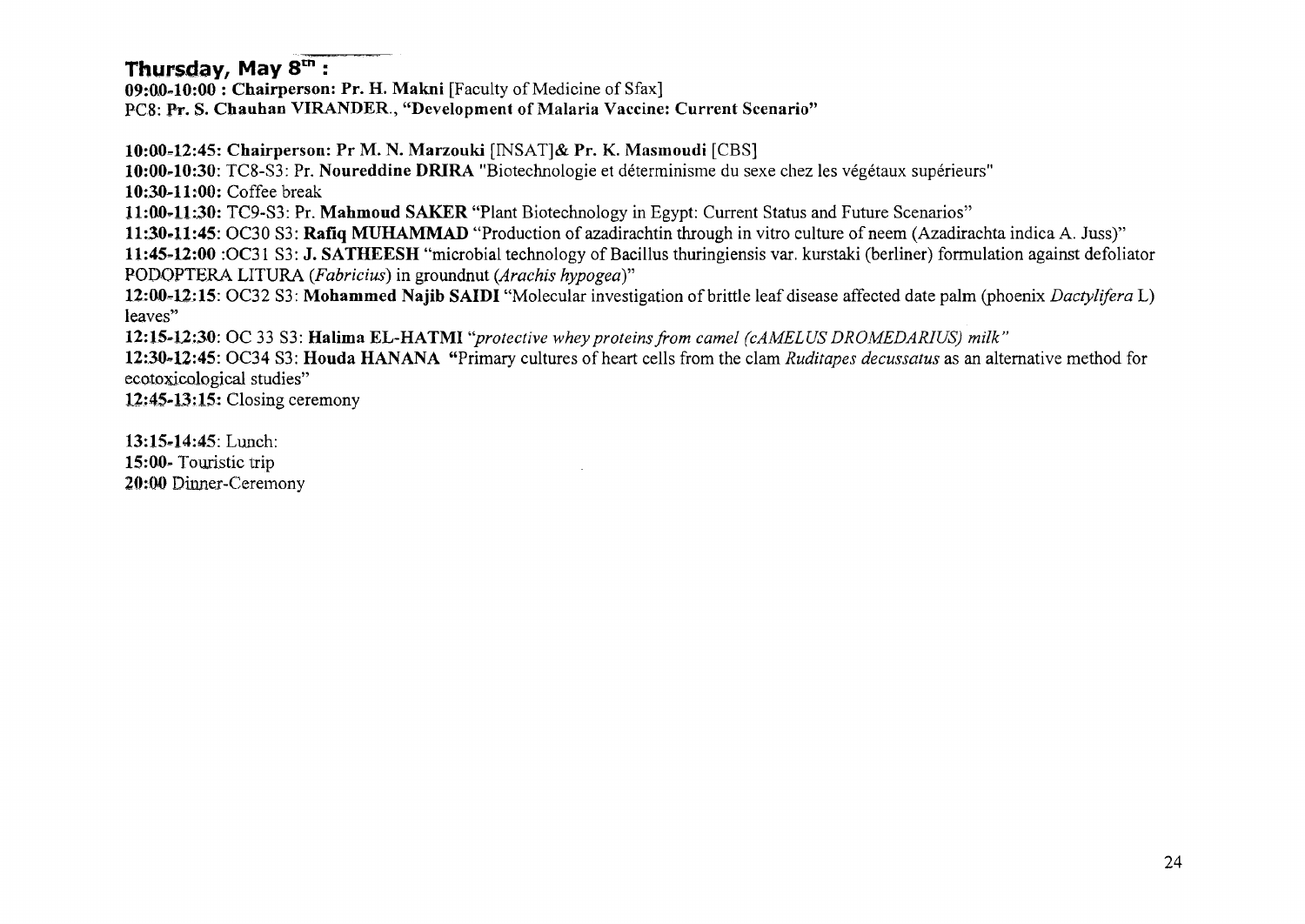#### **Thursday, May 8tn :**

**09:00-10:00 : Chairperson: Pr. H. Makni** [Faculty of Medicine of Sfax] PCS: **Pr. S. Chauhan VIRANDER., "Development of Malaria Vaccine: Current Scenario"** 

**10:00-12:45: Chairperson: Pr M. N. Marzouki** [INSATJ& **Pr. K. Masmoudi** [CBS] **10:00-10:30:** TC8-S3: Pr. **Noureddine DRIRA** "Biotechnologie et déterminisme du sexe chez les végétaux supérieurs" **10:30-11:00:** Coffee break **11:00-11:30:** TC9-S3: Pr. **Mahmoud SAKER** "Plant Biotechnology in Egypt: Current Status and Future Scenarios" **11:30-11:45:** OC30 **S3: Rafiq MUHAMMAD** "Production of azadirachtin through in vitro culture of neem (Azadirachta indica A. Juss)" **11:45-12:00 :OC31 S3: J. SATHEESH** "microbial technology of Bacillus thuringiensis var. kurstaki (berliner) formulation against defoliator POPOPTERA **LITURA** *(Fabricius)* in groundnut *(Arachis hypogea)"*  **12:00-12:15:** OC32 S3: Mohammed Najib SAIDI "Molecular investigation of brittle leaf disease affected date palm (phoenix *Dactylifera L*) leaves"

**12:15-12:30:** OC **33 S3: Halima EL-HATMI** *"protective whey proteins from camel (cAMELUS DROMEDARIUS) milk"* 

**12:30-12:45:** OC34 S3: **Houda HANANA** "Primary cultures of heart cells from the clam *Ruditapes decussatus* as an alternative method for ecotoxicological studies"

**12:45-13:15:** Closing ceremony

13:15-14:45: Lunch: **15:00-** Touristic trip 20:00 Dinner-Ceremony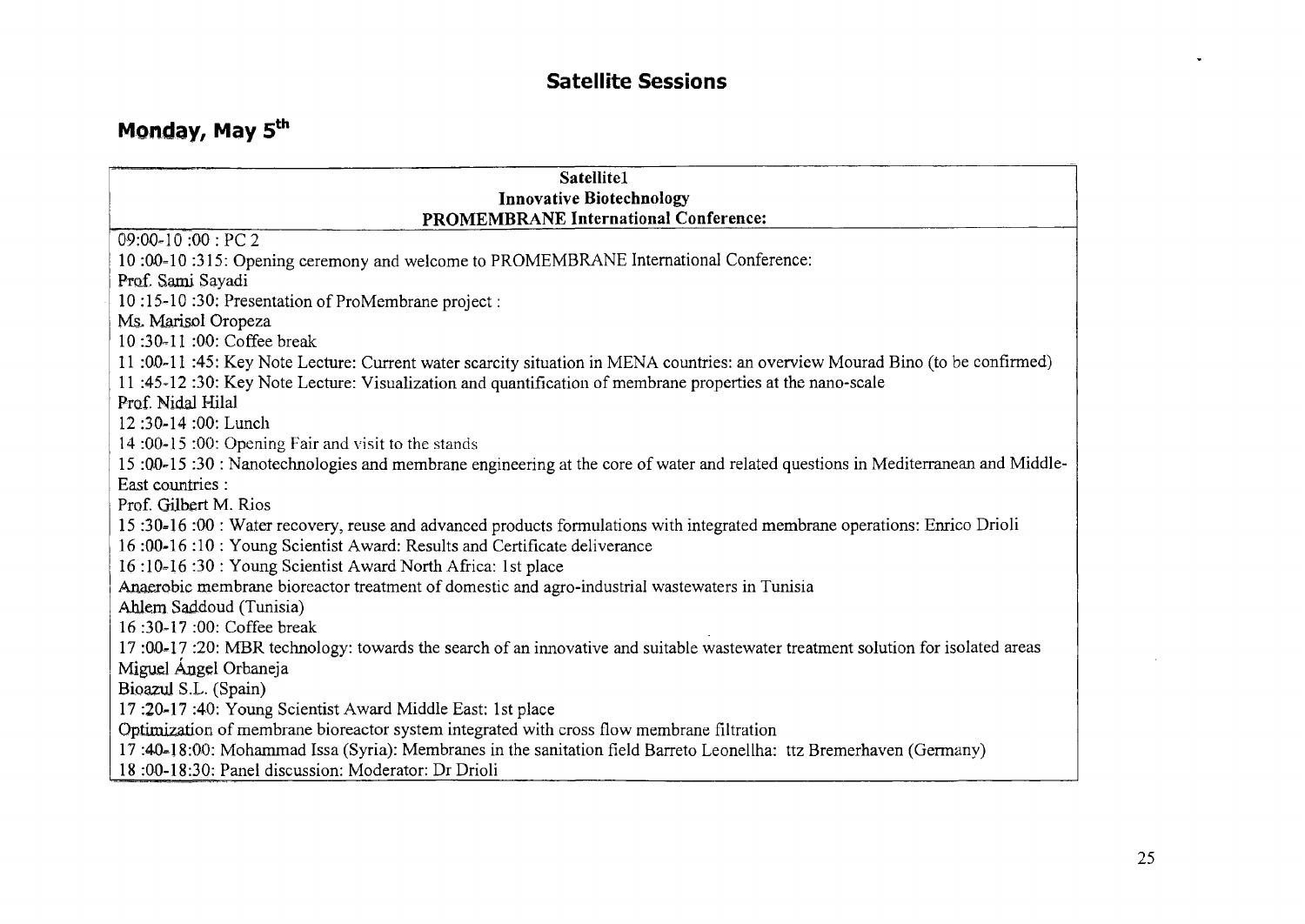#### **Satellite Sessions**

# **Monday, May 5th**

| Satellite1                                                                                                                     |
|--------------------------------------------------------------------------------------------------------------------------------|
| <b>Innovative Biotechnology</b>                                                                                                |
| <b>PROMEMBRANE International Conference:</b>                                                                                   |
| $09:00 - 10:00 : PC2$                                                                                                          |
| 10:00-10:315: Opening ceremony and welcome to PROMEMBRANE International Conference:                                            |
| Prof. Sami Sayadi                                                                                                              |
| 10:15-10:30: Presentation of ProMembrane project :                                                                             |
| Ms. Marisol Oropeza                                                                                                            |
| 10:30-11:00: Coffee break                                                                                                      |
| 11:00-11:45: Key Note Lecture: Current water scarcity situation in MENA countries: an overview Mourad Bino (to be confirmed)   |
| 11:45-12:30: Key Note Lecture: Visualization and quantification of membrane properties at the nano-scale                       |
| Prof. Nidal Hilal                                                                                                              |
| 12:30-14:00: Lunch                                                                                                             |
| 14:00-15:00: Opening Fair and visit to the stands                                                                              |
| 15:00-15:30: Nanotechnologies and membrane engineering at the core of water and related questions in Mediterranean and Middle- |
| East countries :                                                                                                               |
| Prof. Gilbert M. Rios                                                                                                          |
| 15:30-16:00: Water recovery, reuse and advanced products formulations with integrated membrane operations: Enrico Drioli       |
| 16:00-16:10: Young Scientist Award: Results and Certificate deliverance                                                        |
| 16:10-16:30: Young Scientist Award North Africa: 1st place                                                                     |
| Anaerobic membrane bioreactor treatment of domestic and agro-industrial wastewaters in Tunisia                                 |
| Ahlem Saddoud (Tunisia)                                                                                                        |
| 16:30-17:00: Coffee break                                                                                                      |
| 17:00-17:20: MBR technology: towards the search of an innovative and suitable wastewater treatment solution for isolated areas |
| Miguel Angel Orbaneja                                                                                                          |
| Bioazul S.L. (Spain)                                                                                                           |
| 17:20-17:40: Young Scientist Award Middle East: 1st place                                                                      |
| Optimization of membrane bioreactor system integrated with cross flow membrane filtration                                      |
| 17:40-18:00: Mohammad Issa (Syria): Membranes in the sanitation field Barreto Leonellha: ttz Bremerhaven (Germany)             |
| 18:00-18:30: Panel discussion: Moderator: Dr Drioli                                                                            |

 $\ddot{\phantom{0}}$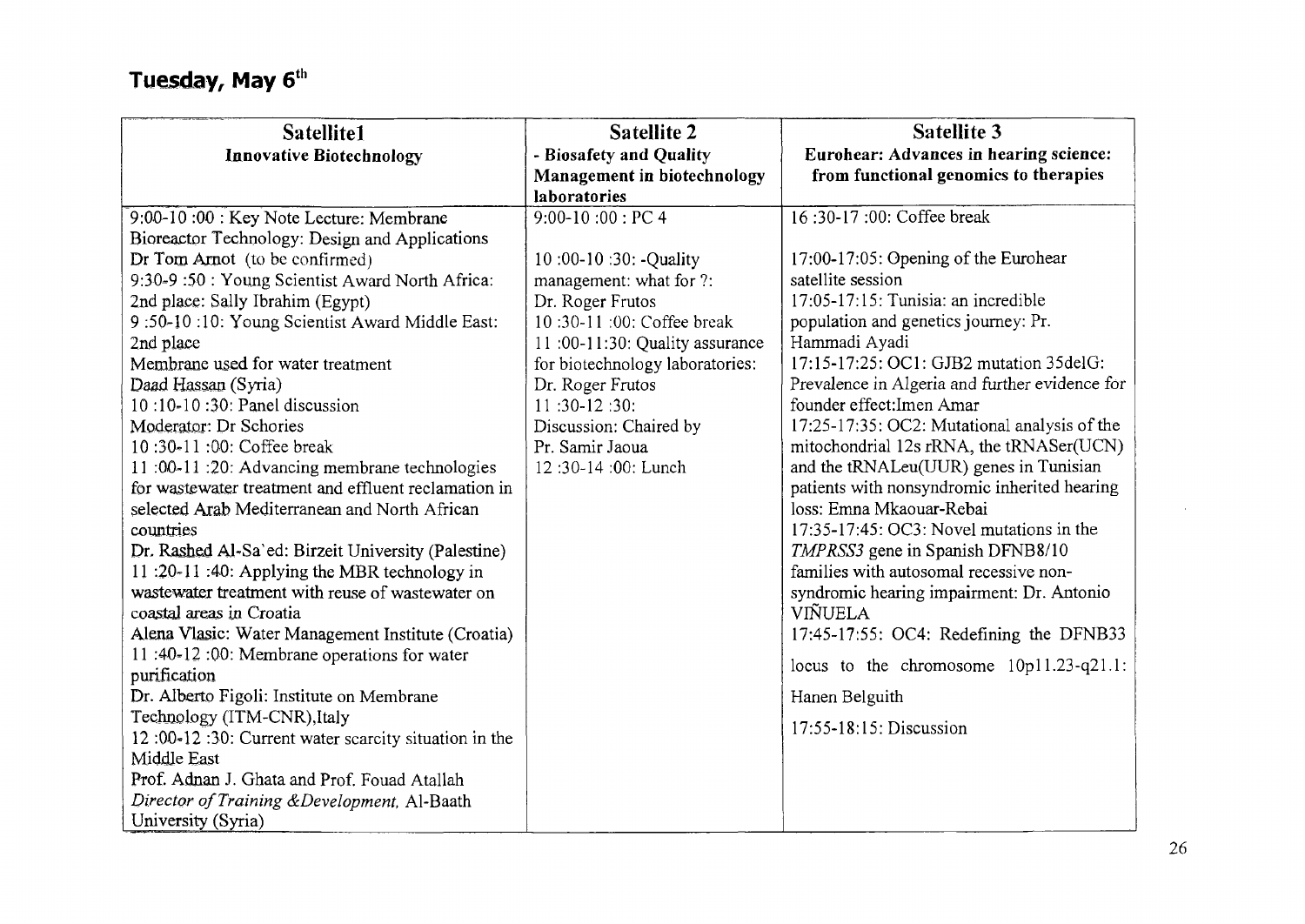| Satellite1<br><b>Innovative Biotechnology</b>                                        | <b>Satellite 2</b><br>- Biosafety and Quality<br>Management in biotechnology | <b>Satellite 3</b><br>Eurohear: Advances in hearing science:<br>from functional genomics to therapies |
|--------------------------------------------------------------------------------------|------------------------------------------------------------------------------|-------------------------------------------------------------------------------------------------------|
|                                                                                      | laboratories                                                                 | 16:30-17:00: Coffee break                                                                             |
| 9:00-10:00: Key Note Lecture: Membrane                                               | $9:00-10:00$ : PC 4                                                          |                                                                                                       |
| Bioreactor Technology: Design and Applications                                       |                                                                              |                                                                                                       |
| Dr Tom Arnot (to be confirmed)                                                       | 10:00-10:30: -Quality                                                        | 17:00-17:05: Opening of the Eurohear<br>satellite session                                             |
| 9:30-9 :50 : Young Scientist Award North Africa:<br>2nd place: Sally Ibrahim (Egypt) | management: what for ?:<br>Dr. Roger Frutos                                  | 17:05-17:15: Tunisia: an incredible                                                                   |
| 9:50-10:10: Young Scientist Award Middle East:                                       | 10:30-11:00: Coffee break                                                    | population and genetics journey: Pr.                                                                  |
| 2nd place                                                                            | 11:00-11:30: Quality assurance                                               | Hammadi Ayadi                                                                                         |
| Membrane used for water treatment                                                    | for biotechnology laboratories:                                              | 17:15-17:25: OC1: GJB2 mutation 35delG:                                                               |
| Daad Hassan (Syria)                                                                  | Dr. Roger Frutos                                                             | Prevalence in Algeria and further evidence for                                                        |
| 10:10-10:30: Panel discussion                                                        | 11:30-12:30:                                                                 | founder effect: Imen Amar                                                                             |
| Moderator: Dr Schories                                                               | Discussion: Chaired by                                                       | 17:25-17:35: OC2: Mutational analysis of the                                                          |
| 10:30-11:00: Coffee break                                                            | Pr. Samir Jaoua                                                              | mitochondrial 12s rRNA, the tRNASer(UCN)                                                              |
| 11:00-11:20: Advancing membrane technologies                                         | 12:30-14:00: Lunch                                                           | and the tRNALeu(UUR) genes in Tunisian                                                                |
| for wastewater treatment and effluent reclamation in                                 |                                                                              | patients with nonsyndromic inherited hearing                                                          |
| selected Arab Mediterranean and North African                                        |                                                                              | loss: Emna Mkaouar-Rebai                                                                              |
| countries                                                                            |                                                                              | 17:35-17:45: OC3: Novel mutations in the                                                              |
| Dr. Rashed Al-Sa'ed: Birzeit University (Palestine)                                  |                                                                              | TMPRSS3 gene in Spanish DFNB8/10                                                                      |
| 11:20-11:40: Applying the MBR technology in                                          |                                                                              | families with autosomal recessive non-                                                                |
| wastewater treatment with reuse of wastewater on                                     |                                                                              | syndromic hearing impairment: Dr. Antonio                                                             |
| coastal areas in Croatia                                                             |                                                                              | VIÑUELA                                                                                               |
| Alena Vlasic: Water Management Institute (Croatia)                                   |                                                                              | 17:45-17:55: OC4: Redefining the DFNB33                                                               |
| 11:40-12:00: Membrane operations for water                                           |                                                                              | locus to the chromosome $10p11.23-q21.1$ :                                                            |
| purification                                                                         |                                                                              |                                                                                                       |
| Dr. Alberto Figoli: Institute on Membrane                                            |                                                                              | Hanen Belguith                                                                                        |
| Technology (ITM-CNR), Italy                                                          |                                                                              | 17:55-18:15: Discussion                                                                               |
| 12:00-12:30: Current water scarcity situation in the                                 |                                                                              |                                                                                                       |
| Middle East                                                                          |                                                                              |                                                                                                       |
| Prof. Adnan J. Ghata and Prof. Fouad Atallah                                         |                                                                              |                                                                                                       |
| Director of Training & Development, Al-Baath                                         |                                                                              |                                                                                                       |
| University (Syria)                                                                   |                                                                              |                                                                                                       |

 $\sim$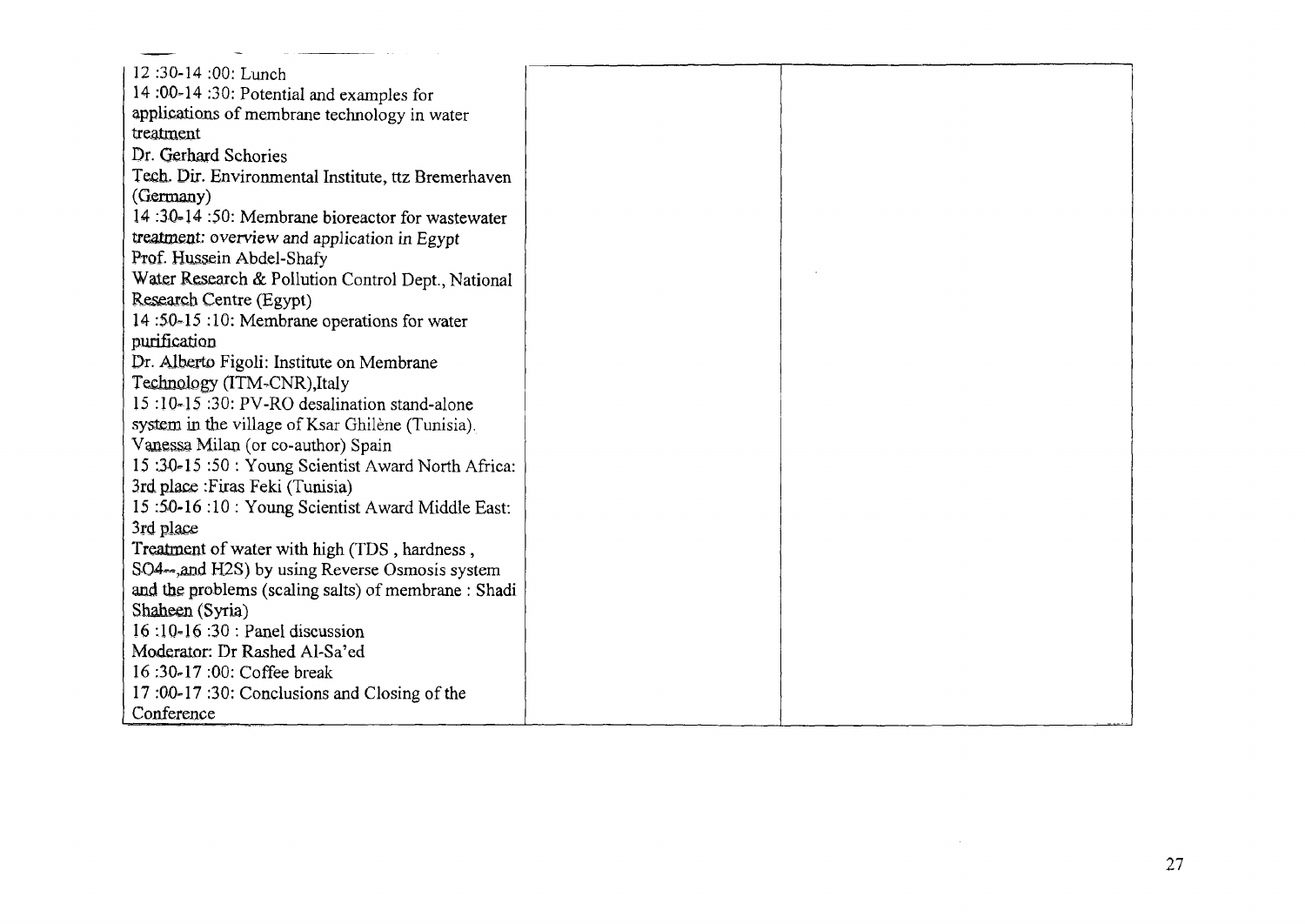| 12:30-14:00: Lunch                                   |  |
|------------------------------------------------------|--|
| 14:00-14:30: Potential and examples for              |  |
| applications of membrane technology in water         |  |
| treatment                                            |  |
| Dr. Gerhard Schories                                 |  |
| Tech. Dir. Environmental Institute, ttz Bremerhaven  |  |
| (Germany)                                            |  |
| 14:30-14:50: Membrane bioreactor for wastewater      |  |
| treatment: overview and application in Egypt         |  |
| Prof. Hussein Abdel-Shafy                            |  |
| Water Research & Pollution Control Dept., National   |  |
| Research Centre (Egypt)                              |  |
| 14:50-15:10: Membrane operations for water           |  |
| purification                                         |  |
| Dr. Alberto Figoli: Institute on Membrane            |  |
| Technology (ITM-CNR), Italy                          |  |
| 15:10-15:30: PV-RO desalination stand-alone          |  |
| system in the village of Ksar Ghilène (Tunisia).     |  |
| Vanessa Milan (or co-author) Spain                   |  |
| 15:30-15:50: Young Scientist Award North Africa:     |  |
| 3rd place : Firas Feki (Tunisia)                     |  |
| 15:50-16:10: Young Scientist Award Middle East:      |  |
| 3rd place                                            |  |
| Treatment of water with high (TDS, hardness,         |  |
| SO4—, and H2S) by using Reverse Osmosis system       |  |
| and the problems (scaling salts) of membrane : Shadi |  |
| Shaheen (Syria)                                      |  |
| $16:10-16:30:$ Panel discussion                      |  |
| Moderator: Dr Rashed Al-Sa'ed                        |  |
| 16:30-17:00: Coffee break                            |  |
| 17:00-17:30: Conclusions and Closing of the          |  |
| Conference                                           |  |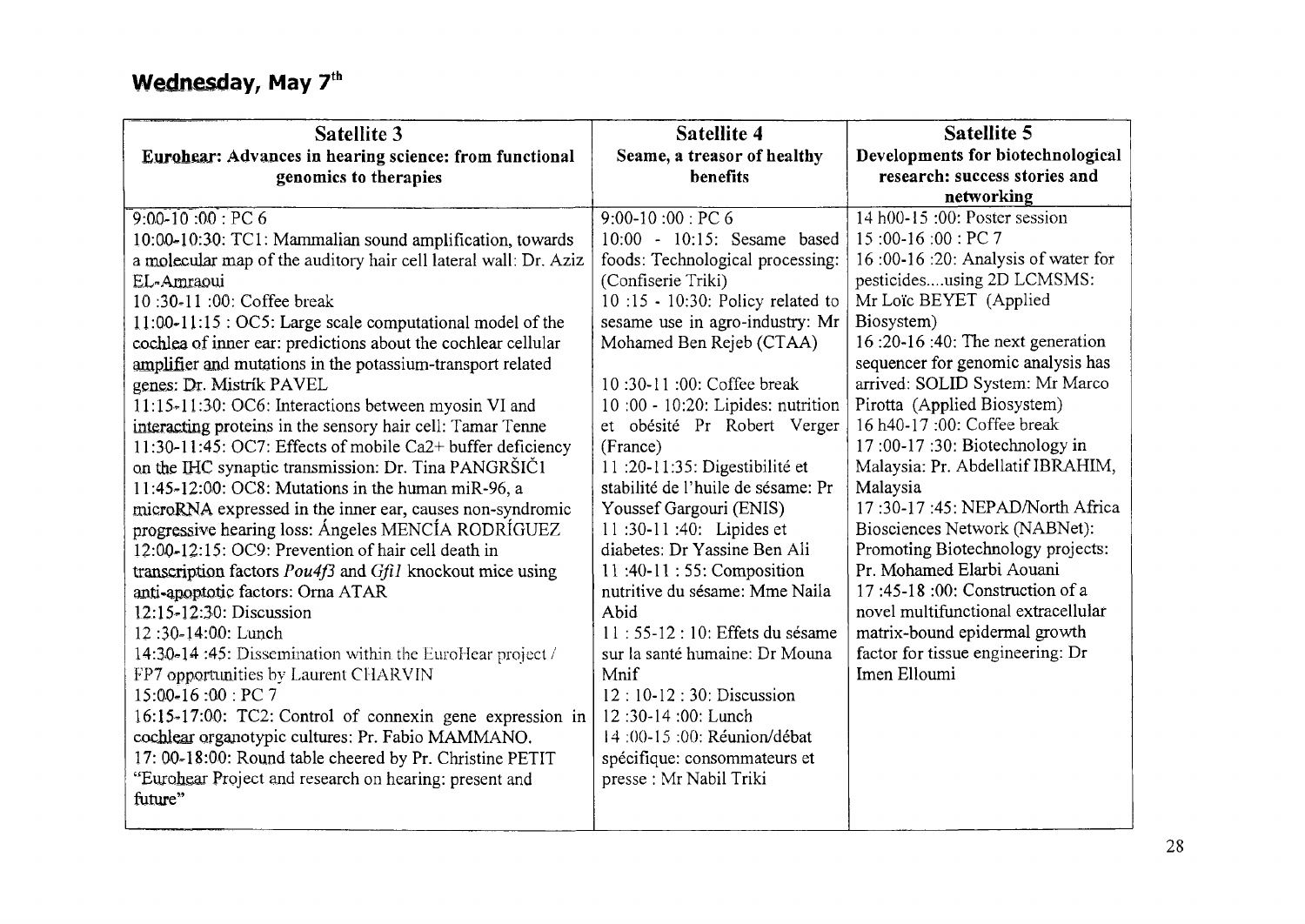## **Wednesday, May 7th**

| Satellite 3                                                                                                   | Satellite 4                            | <b>Satellite 5</b>                                |
|---------------------------------------------------------------------------------------------------------------|----------------------------------------|---------------------------------------------------|
| Eurohear: Advances in hearing science: from functional                                                        | Seame, a treasor of healthy            | Developments for biotechnological                 |
| genomics to therapies                                                                                         | benefits                               | research: success stories and                     |
|                                                                                                               |                                        | networking                                        |
| $9:00-10:00$ : PC 6                                                                                           | $9:00-10:00:PC6$                       | $14 h00-15 :00$ : Poster session                  |
| 10:00-10:30: TC1: Mammalian sound amplification, towards                                                      | 10:00 - 10:15: Sesame based            | 15:00-16:00: PC 7                                 |
| a molecular map of the auditory hair cell lateral wall: Dr. Aziz                                              | foods: Technological processing:       | 16:00-16:20: Analysis of water for                |
| EL-Amraoui                                                                                                    | (Confiserie Triki)                     | pesticidesusing 2D LCMSMS:                        |
| 10:30-11:00: Coffee break                                                                                     | 10:15 - 10:30: Policy related to       | Mr Loïc BEYET (Applied                            |
| $11:00-11:15:OC5: Large scale computational model of the$                                                     | sesame use in agro-industry: Mr        | Biosystem)                                        |
| cochlea of inner ear: predictions about the cochlear cellular                                                 | Mohamed Ben Rejeb (CTAA)               | 16:20-16:40: The next generation                  |
| amplifier and mutations in the potassium-transport related                                                    |                                        | sequencer for genomic analysis has                |
| genes: Dr. Mistrík PAVEL                                                                                      | 10:30-11:00: Coffee break              | arrived: SOLID System: Mr Marco                   |
| 11:15-11:30: OC6: Interactions between myosin VI and                                                          | 10:00 - 10:20: Lipides: nutrition      | Pirotta (Applied Biosystem)                       |
| interacting proteins in the sensory hair cell: Tamar Tenne                                                    | et obésité Pr Robert Verger            | 16 h40-17:00: Coffee break                        |
| 11:30-11:45: OC7: Effects of mobile Ca2+ buffer deficiency                                                    | (France)                               | 17:00-17:30: Biotechnology in                     |
| on the IHC synaptic transmission: Dr. Tina PANGRŠIČ1                                                          | 11 :20-11:35: Digestibilité et         | Malaysia: Pr. Abdellatif IBRAHIM,                 |
| 11:45-12:00: OC8: Mutations in the human miR-96, a                                                            | stabilité de l'huile de sésame: Pr     | Malaysia                                          |
| microRNA expressed in the inner ear, causes non-syndromic                                                     | Youssef Gargouri (ENIS)                | 17:30-17:45: NEPAD/North Africa                   |
| progressive hearing loss: Angeles MENCÍA RODRÍGUEZ                                                            | 11:30-11:40: Lipides et                | Biosciences Network (NABNet):                     |
| 12:00-12:15: OC9: Prevention of hair cell death in                                                            | diabetes: Dr Yassine Ben Ali           | Promoting Biotechnology projects:                 |
| transcription factors Pou4f3 and Gfil knockout mice using                                                     | 11:40-11:55: Composition               | Pr. Mohamed Elarbi Aouani                         |
| anti-apoptotic factors: Orna ATAR                                                                             | nutritive du sésame: Mme Naila         | 17:45-18:00: Construction of a                    |
| 12:15-12:30: Discussion                                                                                       | Abid                                   | novel multifunctional extracellular               |
| 12:30-14:00: Lunch                                                                                            | 11:55-12:10: Effets du sésame          | matrix-bound epidermal growth                     |
| 14:30-14:45: Dissemination within the EuroHear project /                                                      | sur la santé humaine: Dr Mouna<br>Mnif | factor for tissue engineering: Dr<br>Imen Elloumi |
| FP7 opportunities by Laurent CHARVIN<br>15:00-16:00: PC 7                                                     | 12:10-12:30: Discussion                |                                                   |
|                                                                                                               | 12:30-14:00: Lunch                     |                                                   |
| 16:15-17:00: TC2: Control of connexin gene expression in<br>cochlear organotypic cultures: Pr. Fabio MAMMANO. | 14:00-15:00: Réunion/débat             |                                                   |
| 17: 00-18:00: Round table cheered by Pr. Christine PETIT                                                      | spécifique: consommateurs et           |                                                   |
| "Eurohear Project and research on hearing: present and                                                        | presse : Mr Nabil Triki                |                                                   |
| future"                                                                                                       |                                        |                                                   |
|                                                                                                               |                                        |                                                   |